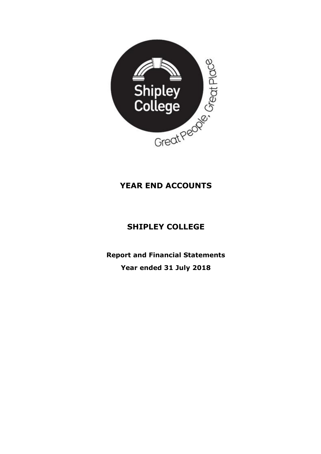

# **YEAR END ACCOUNTS**

# **SHIPLEY COLLEGE**

**Report and Financial Statements Year ended 31 July 2018**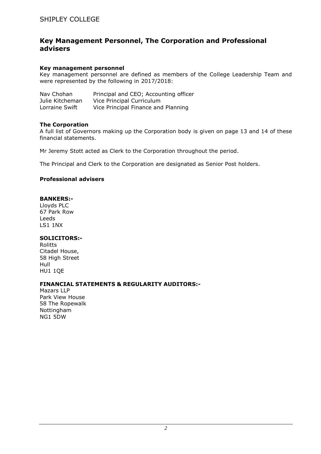## **Key Management Personnel, The Corporation and Professional advisers**

#### **Key management personnel**

Key management personnel are defined as members of the College Leadership Team and were represented by the following in 2017/2018:

| Nav Chohan      | Principal and CEO; Accounting officer |
|-----------------|---------------------------------------|
| Julie Kitcheman | Vice Principal Curriculum             |
| Lorraine Swift  | Vice Principal Finance and Planning   |

#### **The Corporation**

A full list of Governors making up the Corporation body is given on page 13 and 14 of these financial statements.

Mr Jeremy Stott acted as Clerk to the Corporation throughout the period.

The Principal and Clerk to the Corporation are designated as Senior Post holders.

#### **Professional advisers**

#### **BANKERS:-**

Lloyds PLC 67 Park Row Leeds LS1 1NX

#### **SOLICITORS:-**

Rolitts Citadel House, 58 High Street Hull HU1 1QE

#### **FINANCIAL STATEMENTS & REGULARITY AUDITORS:-**

Mazars LLP Park View House 58 The Ropewalk Nottingham NG1 5DW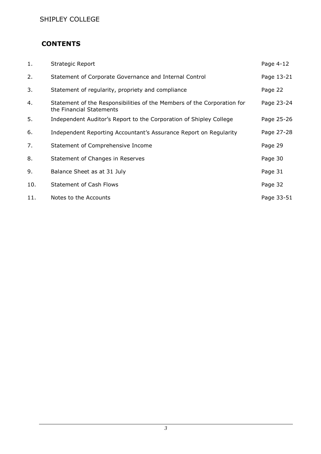## **CONTENTS**

| 1.  | <b>Strategic Report</b>                                                                             | Page 4-12  |
|-----|-----------------------------------------------------------------------------------------------------|------------|
| 2.  | Statement of Corporate Governance and Internal Control                                              | Page 13-21 |
| 3.  | Statement of regularity, propriety and compliance                                                   | Page 22    |
| 4.  | Statement of the Responsibilities of the Members of the Corporation for<br>the Financial Statements | Page 23-24 |
| 5.  | Independent Auditor's Report to the Corporation of Shipley College                                  | Page 25-26 |
| 6.  | Independent Reporting Accountant's Assurance Report on Regularity                                   | Page 27-28 |
| 7.  | Statement of Comprehensive Income                                                                   | Page 29    |
| 8.  | Statement of Changes in Reserves                                                                    | Page 30    |
| 9.  | Balance Sheet as at 31 July                                                                         | Page 31    |
| 10. | <b>Statement of Cash Flows</b>                                                                      | Page 32    |
| 11. | Notes to the Accounts                                                                               | Page 33-51 |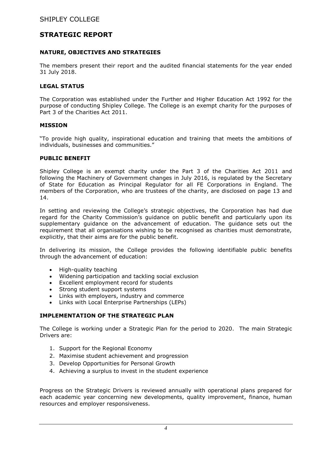## **STRATEGIC REPORT**

#### **NATURE, OBJECTIVES AND STRATEGIES**

The members present their report and the audited financial statements for the year ended 31 July 2018.

#### **LEGAL STATUS**

The Corporation was established under the Further and Higher Education Act 1992 for the purpose of conducting Shipley College. The College is an exempt charity for the purposes of Part 3 of the Charities Act 2011.

#### **MISSION**

"To provide high quality, inspirational education and training that meets the ambitions of individuals, businesses and communities."

#### **PUBLIC BENEFIT**

Shipley College is an exempt charity under the Part 3 of the Charities Act 2011 and following the Machinery of Government changes in July 2016, is regulated by the Secretary of State for Education as Principal Regulator for all FE Corporations in England. The members of the Corporation, who are trustees of the charity, are disclosed on page 13 and 14.

In setting and reviewing the College's strategic objectives, the Corporation has had due regard for the Charity Commission's guidance on public benefit and particularly upon its supplementary guidance on the advancement of education. The guidance sets out the requirement that all organisations wishing to be recognised as charities must demonstrate, explicitly, that their aims are for the public benefit.

In delivering its mission, the College provides the following identifiable public benefits through the advancement of education:

- High-quality teaching
- Widening participation and tackling social exclusion
- Excellent employment record for students
- Strong student support systems
- Links with employers, industry and commerce
- Links with Local Enterprise Partnerships (LEPs)

### **IMPLEMENTATION OF THE STRATEGIC PLAN**

The College is working under a Strategic Plan for the period to 2020. The main Strategic Drivers are:

- 1. Support for the Regional Economy
- 2. Maximise student achievement and progression
- 3. Develop Opportunities for Personal Growth
- 4. Achieving a surplus to invest in the student experience

Progress on the Strategic Drivers is reviewed annually with operational plans prepared for each academic year concerning new developments, quality improvement, finance, human resources and employer responsiveness.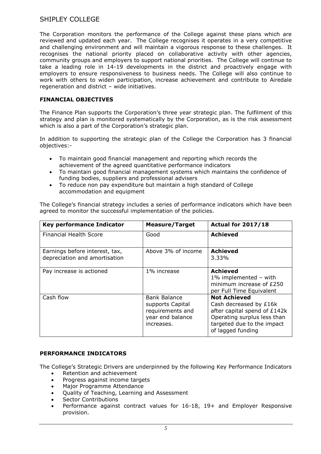The Corporation monitors the performance of the College against these plans which are reviewed and updated each year. The College recognises it operates in a very competitive and challenging environment and will maintain a vigorous response to these challenges. It recognises the national priority placed on collaborative activity with other agencies, community groups and employers to support national priorities. The College will continue to take a leading role in 14-19 developments in the district and proactively engage with employers to ensure responsiveness to business needs. The College will also continue to work with others to widen participation, increase achievement and contribute to Airedale regeneration and district – wide initiatives.

#### **FINANCIAL OBJECTIVES**

The Finance Plan supports the Corporation's three year strategic plan. The fulfilment of this strategy and plan is monitored systematically by the Corporation, as is the risk assessment which is also a part of the Corporation's strategic plan.

In addition to supporting the strategic plan of the College the Corporation has 3 financial objectives:-

- To maintain good financial management and reporting which records the achievement of the agreed quantitative performance indicators
- To maintain good financial management systems which maintains the confidence of funding bodies, suppliers and professional advisers
- To reduce non pay expenditure but maintain a high standard of College accommodation and equipment

The College's financial strategy includes a series of performance indicators which have been agreed to monitor the successful implementation of the policies.

| <b>Key performance Indicator</b>                                | <b>Measure/Target</b>                                                                         | <b>Actual for 2017/18</b>                                                                                                                                       |
|-----------------------------------------------------------------|-----------------------------------------------------------------------------------------------|-----------------------------------------------------------------------------------------------------------------------------------------------------------------|
| <b>Financial Health Score</b>                                   | Good                                                                                          | <b>Achieved</b>                                                                                                                                                 |
| Earnings before interest, tax,<br>depreciation and amortisation | Above 3% of income                                                                            | Achieved<br>3.33%                                                                                                                                               |
| Pay increase is actioned                                        | 1% increase                                                                                   | <b>Achieved</b><br>1% implemented $-$ with<br>minimum increase of £250<br>per Full Time Equivalent                                                              |
| Cash flow                                                       | <b>Bank Balance</b><br>supports Capital<br>requirements and<br>year end balance<br>increases. | <b>Not Achieved</b><br>Cash decreased by £16k<br>after capital spend of £142k<br>Operating surplus less than<br>targeted due to the impact<br>of lagged funding |

#### **PERFORMANCE INDICATORS**

The College's Strategic Drivers are underpinned by the following Key Performance Indicators

- Retention and achievement
- Progress against income targets
- Major Programme Attendance
- Quality of Teaching, Learning and Assessment
- Sector Contributions
- Performance against contract values for 16-18, 19+ and Employer Responsive provision.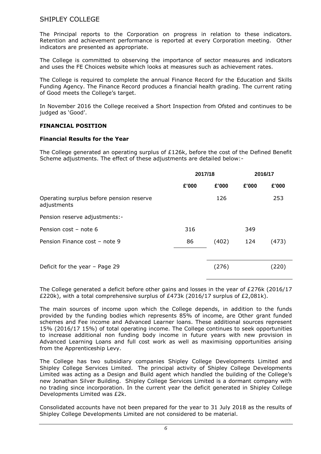The Principal reports to the Corporation on progress in relation to these indicators. Retention and achievement performance is reported at every Corporation meeting. Other indicators are presented as appropriate.

The College is committed to observing the importance of sector measures and indicators and uses the FE Choices website which looks at measures such as achievement rates.

The College is required to complete the annual Finance Record for the Education and Skills Funding Agency. The Finance Record produces a financial health grading. The current rating of Good meets the College's target.

In November 2016 the College received a Short Inspection from Ofsted and continues to be judged as 'Good'.

#### **FINANCIAL POSITION**

#### **Financial Results for the Year**

The College generated an operating surplus of £126k, before the cost of the Defined Benefit Scheme adjustments. The effect of these adjustments are detailed below:-

|                                                         | 2017/18 |       | 2016/17 |       |
|---------------------------------------------------------|---------|-------|---------|-------|
|                                                         | £'000   | £'000 | £'000   | £'000 |
| Operating surplus before pension reserve<br>adjustments |         | 126   |         | 253   |
| Pension reserve adjustments:-                           |         |       |         |       |
| Pension cost - note 6                                   | 316     |       | 349     |       |
| Pension Finance cost - note 9                           | 86      | (402) | 124     | (473) |
|                                                         |         |       |         |       |
| Deficit for the year $-$ Page 29                        |         | (276) |         | (220) |
|                                                         |         |       |         |       |

The College generated a deficit before other gains and losses in the year of £276k (2016/17 £220k), with a total comprehensive surplus of £473k (2016/17 surplus of £2,081k).

The main sources of income upon which the College depends, in addition to the funds provided by the funding bodies which represents 85% of income, are Other grant funded schemes and Fee income and Advanced Learner loans. These additional sources represent 15% (2016/17 15%) of total operating income. The College continues to seek opportunities to increase additional non funding body income in future years with new provision in Advanced Learning Loans and full cost work as well as maximising opportunities arising from the Apprenticeship Levy.

The College has two subsidiary companies Shipley College Developments Limited and Shipley College Services Limited. The principal activity of Shipley College Developments Limited was acting as a Design and Build agent which handled the building of the College's new Jonathan Silver Building. Shipley College Services Limited is a dormant company with no trading since incorporation. In the current year the deficit generated in Shipley College Developments Limited was £2k.

Consolidated accounts have not been prepared for the year to 31 July 2018 as the results of Shipley College Developments Limited are not considered to be material.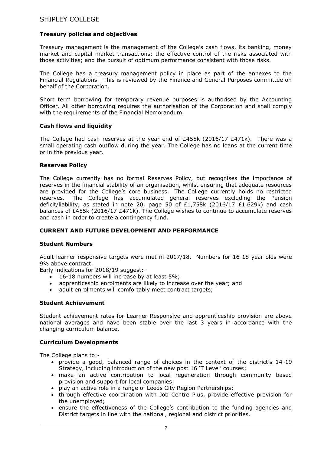### **Treasury policies and objectives**

Treasury management is the management of the College's cash flows, its banking, money market and capital market transactions; the effective control of the risks associated with those activities; and the pursuit of optimum performance consistent with those risks.

The College has a treasury management policy in place as part of the annexes to the Financial Regulations. This is reviewed by the Finance and General Purposes committee on behalf of the Corporation.

Short term borrowing for temporary revenue purposes is authorised by the Accounting Officer. All other borrowing requires the authorisation of the Corporation and shall comply with the requirements of the Financial Memorandum.

#### **Cash flows and liquidity**

The College had cash reserves at the year end of  $£455k$  (2016/17  $£471k$ ). There was a small operating cash outflow during the year. The College has no loans at the current time or in the previous year.

#### **Reserves Policy**

The College currently has no formal Reserves Policy, but recognises the importance of reserves in the financial stability of an organisation, whilst ensuring that adequate resources are provided for the College's core business. The College currently holds no restricted reserves. The College has accumulated general reserves excluding the Pension deficit/liability, as stated in note 20, page 50 of  $£1,758k$  (2016/17  $£1,629k$ ) and cash balances of £455k (2016/17 £471k). The College wishes to continue to accumulate reserves and cash in order to create a contingency fund.

#### **CURRENT AND FUTURE DEVELOPMENT AND PERFORMANCE**

#### **Student Numbers**

Adult learner responsive targets were met in 2017/18. Numbers for 16-18 year olds were 9% above contract.

Early indications for 2018/19 suggest:-

- 16-18 numbers will increase by at least 5%;
- apprenticeship enrolments are likely to increase over the year; and
- adult enrolments will comfortably meet contract targets;

#### **Student Achievement**

Student achievement rates for Learner Responsive and apprenticeship provision are above national averages and have been stable over the last 3 years in accordance with the changing curriculum balance.

#### **Curriculum Developments**

The College plans to:-

- provide a good, balanced range of choices in the context of the district's 14-19 Strategy, including introduction of the new post 16 'T Level' courses;
- make an active contribution to local regeneration through community based provision and support for local companies;
- play an active role in a range of Leeds City Region Partnerships;
- through effective coordination with Job Centre Plus, provide effective provision for the unemployed;
- ensure the effectiveness of the College's contribution to the funding agencies and District targets in line with the national, regional and district priorities.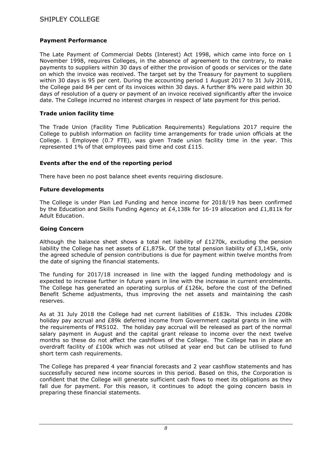### **Payment Performance**

The Late Payment of Commercial Debts (Interest) Act 1998, which came into force on 1 November 1998, requires Colleges, in the absence of agreement to the contrary, to make payments to suppliers within 30 days of either the provision of goods or services or the date on which the invoice was received. The target set by the Treasury for payment to suppliers within 30 days is 95 per cent. During the accounting period 1 August 2017 to 31 July 2018, the College paid 84 per cent of its invoices within 30 days. A further 8% were paid within 30 days of resolution of a query or payment of an invoice received significantly after the invoice date. The College incurred no interest charges in respect of late payment for this period.

#### **Trade union facility time**

The Trade Union (Facility Time Publication Requirements) Regulations 2017 require the College to publish information on facility time arrangements for trade union officials at the College. 1 Employee (0.7 FTE), was given Trade union facility time in the year. This represented 1% of that employees paid time and cost £115.

### **Events after the end of the reporting period**

There have been no post balance sheet events requiring disclosure.

#### **Future developments**

The College is under Plan Led Funding and hence income for 2018/19 has been confirmed by the Education and Skills Funding Agency at £4,138k for 16-19 allocation and £1,811k for Adult Education.

#### **Going Concern**

Although the balance sheet shows a total net liability of  $E1270k$ , excluding the pension liability the College has net assets of £1,875k. Of the total pension liability of £3,145k, only the agreed schedule of pension contributions is due for payment within twelve months from the date of signing the financial statements.

The funding for 2017/18 increased in line with the lagged funding methodology and is expected to increase further in future years in line with the increase in current enrolments. The College has generated an operating surplus of £126k, before the cost of the Defined Benefit Scheme adjustments, thus improving the net assets and maintaining the cash reserves.

As at 31 July 2018 the College had net current liabilities of  $£183k$ . This includes  $£208k$ holiday pay accrual and £89k deferred income from Government capital grants in line with the requirements of FRS102. The holiday pay accrual will be released as part of the normal salary payment in August and the capital grant release to income over the next twelve months so these do not affect the cashflows of the College. The College has in place an overdraft facility of £100k which was not utilised at year end but can be utilised to fund short term cash requirements.

The College has prepared 4 year financial forecasts and 2 year cashflow statements and has successfully secured new income sources in this period. Based on this, the Corporation is confident that the College will generate sufficient cash flows to meet its obligations as they fall due for payment. For this reason, it continues to adopt the going concern basis in preparing these financial statements.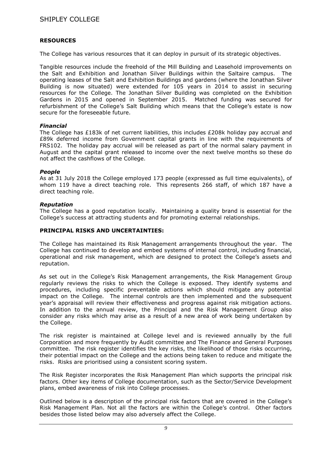### **RESOURCES**

The College has various resources that it can deploy in pursuit of its strategic objectives.

Tangible resources include the freehold of the Mill Building and Leasehold improvements on the Salt and Exhibition and Jonathan Silver Buildings within the Saltaire campus. The operating leases of the Salt and Exhibition Buildings and gardens (where the Jonathan Silver Building is now situated) were extended for 105 years in 2014 to assist in securing resources for the College. The Jonathan Silver Building was completed on the Exhibition Gardens in 2015 and opened in September 2015. Matched funding was secured for refurbishment of the College's Salt Building which means that the College's estate is now secure for the foreseeable future.

#### *Financial*

The College has £183k of net current liabilities, this includes £208k holiday pay accrual and £89k deferred income from Government capital grants in line with the requirements of FRS102. The holiday pay accrual will be released as part of the normal salary payment in August and the capital grant released to income over the next twelve months so these do not affect the cashflows of the College.

#### *People*

As at 31 July 2018 the College employed 173 people (expressed as full time equivalents), of whom 119 have a direct teaching role. This represents 266 staff, of which 187 have a direct teaching role.

### *Reputation*

The College has a good reputation locally. Maintaining a quality brand is essential for the College's success at attracting students and for promoting external relationships.

#### **PRINCIPAL RISKS AND UNCERTAINTIES:**

The College has maintained its Risk Management arrangements throughout the year. The College has continued to develop and embed systems of internal control, including financial, operational and risk management, which are designed to protect the College's assets and reputation.

As set out in the College's Risk Management arrangements, the Risk Management Group regularly reviews the risks to which the College is exposed. They identify systems and procedures, including specific preventable actions which should mitigate any potential impact on the College. The internal controls are then implemented and the subsequent year's appraisal will review their effectiveness and progress against risk mitigation actions. In addition to the annual review, the Principal and the Risk Management Group also consider any risks which may arise as a result of a new area of work being undertaken by the College.

The risk register is maintained at College level and is reviewed annually by the full Corporation and more frequently by Audit committee and The Finance and General Purposes committee. The risk register identifies the key risks, the likelihood of those risks occurring, their potential impact on the College and the actions being taken to reduce and mitigate the risks. Risks are prioritised using a consistent scoring system.

The Risk Register incorporates the Risk Management Plan which supports the principal risk factors. Other key items of College documentation, such as the Sector/Service Development plans, embed awareness of risk into College processes.

Outlined below is a description of the principal risk factors that are covered in the College's Risk Management Plan. Not all the factors are within the College's control. Other factors besides those listed below may also adversely affect the College.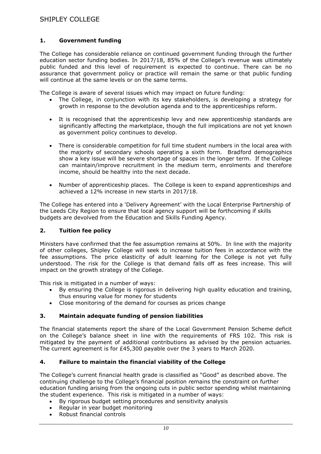### **1. Government funding**

The College has considerable reliance on continued government funding through the further education sector funding bodies. In 2017/18, 85% of the College's revenue was ultimately public funded and this level of requirement is expected to continue. There can be no assurance that government policy or practice will remain the same or that public funding will continue at the same levels or on the same terms.

The College is aware of several issues which may impact on future funding:

- The College, in conjunction with its key stakeholders, is developing a strategy for growth in response to the devolution agenda and to the apprenticeships reform.
- It is recognised that the apprenticeship levy and new apprenticeship standards are significantly affecting the marketplace, though the full implications are not yet known as government policy continues to develop.
- There is considerable competition for full time student numbers in the local area with the majority of secondary schools operating a sixth form. Bradford demographics show a key issue will be severe shortage of spaces in the longer term. If the College can maintain/improve recruitment in the medium term, enrolments and therefore income, should be healthy into the next decade.
- Number of apprenticeship places. The College is keen to expand apprenticeships and achieved a 12% increase in new starts in 2017/18.

The College has entered into a 'Delivery Agreement' with the Local Enterprise Partnership of the Leeds City Region to ensure that local agency support will be forthcoming if skills budgets are devolved from the Education and Skills Funding Agency.

#### **2. Tuition fee policy**

Ministers have confirmed that the fee assumption remains at 50%. In line with the majority of other colleges, Shipley College will seek to increase tuition fees in accordance with the fee assumptions. The price elasticity of adult learning for the College is not yet fully understood. The risk for the College is that demand falls off as fees increase. This will impact on the growth strategy of the College.

This risk is mitigated in a number of ways:

- By ensuring the College is rigorous in delivering high quality education and training, thus ensuring value for money for students
- Close monitoring of the demand for courses as prices change

#### **3. Maintain adequate funding of pension liabilities**

The financial statements report the share of the Local Government Pension Scheme deficit on the College's balance sheet in line with the requirements of FRS 102. This risk is mitigated by the payment of additional contributions as advised by the pension actuaries. The current agreement is for £45,300 payable over the 3 years to March 2020.

#### **4. Failure to maintain the financial viability of the College**

The College's current financial health grade is classified as "Good" as described above. The continuing challenge to the College's financial position remains the constraint on further education funding arising from the ongoing cuts in public sector spending whilst maintaining the student experience. This risk is mitigated in a number of ways:

- By rigorous budget setting procedures and sensitivity analysis
- Regular in year budget monitoring
- Robust financial controls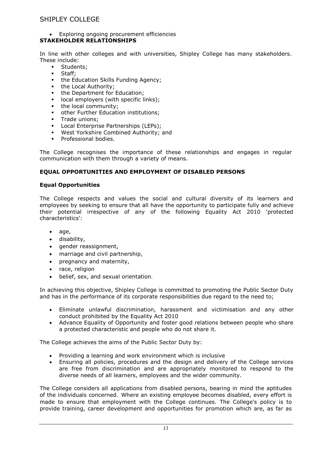#### Exploring ongoing procurement efficiencies **STAKEHOLDER RELATIONSHIPS**

In line with other colleges and with universities, Shipley College has many stakeholders. These include:

- Students;
- Staff;
- the Education Skills Funding Agency;
- the Local Authority;
- the Department for Education;
- **-** local employers (with specific links);
- the local community;
- other Further Education institutions;
- **Trade unions:**
- Local Enterprise Partnerships (LEPs);
- West Yorkshire Combined Authority; and
- **Professional bodies.**

The College recognises the importance of these relationships and engages in regular communication with them through a variety of means.

### **EQUAL OPPORTUNITIES AND EMPLOYMENT OF DISABLED PERSONS**

#### **Equal Opportunities**

The College respects and values the social and cultural diversity of its learners and employees by seeking to ensure that all have the opportunity to participate fully and achieve their potential irrespective of any of the following Equality Act 2010 'protected characteristics':

- age,
- disability,
- gender reassignment,
- marriage and civil partnership,
- pregnancy and maternity,
- race, religion
- belief, sex, and sexual orientation.

In achieving this objective, Shipley College is committed to promoting the Public Sector Duty and has in the performance of its corporate responsibilities due regard to the need to;

- Eliminate unlawful discrimination, harassment and victimisation and any other conduct prohibited by the Equality Act 2010
- Advance Equality of Opportunity and foster good relations between people who share a protected characteristic and people who do not share it.

The College achieves the aims of the Public Sector Duty by:

- Providing a learning and work environment which is inclusive
- Ensuring all policies, procedures and the design and delivery of the College services are free from discrimination and are appropriately monitored to respond to the diverse needs of all learners, employees and the wider community.

The College considers all applications from disabled persons, bearing in mind the aptitudes of the individuals concerned. Where an existing employee becomes disabled, every effort is made to ensure that employment with the College continues. The College's policy is to provide training, career development and opportunities for promotion which are, as far as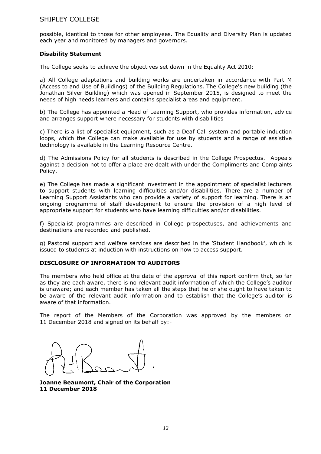possible, identical to those for other employees. The Equality and Diversity Plan is updated each year and monitored by managers and governors.

#### **Disability Statement**

The College seeks to achieve the objectives set down in the Equality Act 2010:

a) All College adaptations and building works are undertaken in accordance with Part M (Access to and Use of Buildings) of the Building Regulations. The College's new building (the Jonathan Silver Building) which was opened in September 2015, is designed to meet the needs of high needs learners and contains specialist areas and equipment.

b) The College has appointed a Head of Learning Support, who provides information, advice and arranges support where necessary for students with disabilities

c) There is a list of specialist equipment, such as a Deaf Call system and portable induction loops, which the College can make available for use by students and a range of assistive technology is available in the Learning Resource Centre.

d) The Admissions Policy for all students is described in the College Prospectus. Appeals against a decision not to offer a place are dealt with under the Compliments and Complaints Policy.

e) The College has made a significant investment in the appointment of specialist lecturers to support students with learning difficulties and/or disabilities. There are a number of Learning Support Assistants who can provide a variety of support for learning. There is an ongoing programme of staff development to ensure the provision of a high level of appropriate support for students who have learning difficulties and/or disabilities.

f) Specialist programmes are described in College prospectuses, and achievements and destinations are recorded and published.

g) Pastoral support and welfare services are described in the 'Student Handbook', which is issued to students at induction with instructions on how to access support.

#### **DISCLOSURE OF INFORMATION TO AUDITORS**

The members who held office at the date of the approval of this report confirm that, so far as they are each aware, there is no relevant audit information of which the College's auditor is unaware; and each member has taken all the steps that he or she ought to have taken to be aware of the relevant audit information and to establish that the College's auditor is aware of that information.

The report of the Members of the Corporation was approved by the members on 11 December 2018 and signed on its behalf by:-

**Joanne Beaumont, Chair of the Corporation 11 December 2018**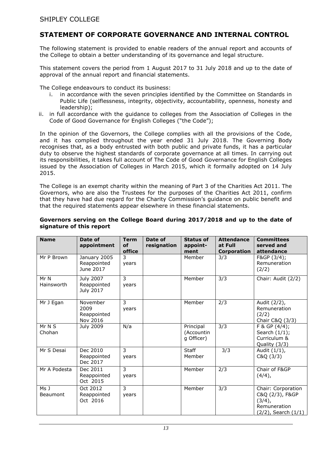## **STATEMENT OF CORPORATE GOVERNANCE AND INTERNAL CONTROL**

The following statement is provided to enable readers of the annual report and accounts of the College to obtain a better understanding of its governance and legal structure.

This statement covers the period from 1 August 2017 to 31 July 2018 and up to the date of approval of the annual report and financial statements.

The College endeavours to conduct its business:

- i. in accordance with the seven principles identified by the Committee on Standards in Public Life (selflessness, integrity, objectivity, accountability, openness, honesty and leadership);
- ii. in full accordance with the guidance to colleges from the Association of Colleges in the Code of Good Governance for English Colleges ("the Code");

In the opinion of the Governors, the College complies with all the provisions of the Code, and it has complied throughout the year ended 31 July 2018. The Governing Body recognises that, as a body entrusted with both public and private funds, it has a particular duty to observe the highest standards of corporate governance at all times. In carrying out its responsibilities, it takes full account of The Code of Good Governance for English Colleges issued by the Association of Colleges in March 2015, which it formally adopted on 14 July 2015.

The College is an exempt charity within the meaning of Part 3 of the Charities Act 2011. The Governors, who are also the Trustees for the purposes of the Charities Act 2011, confirm that they have had due regard for the Charity Commission's guidance on public benefit and that the required statements appear elsewhere in these financial statements.

| <b>Name</b>        | Date of<br>appointment                       | <b>Term</b><br><b>of</b><br>office | Date of<br>resignation | <b>Status of</b><br>appoint-<br>ment  | <b>Attendance</b><br>at Full<br>Corporation | <b>Committees</b><br>served and<br>attendance                                             |
|--------------------|----------------------------------------------|------------------------------------|------------------------|---------------------------------------|---------------------------------------------|-------------------------------------------------------------------------------------------|
| Mr P Brown         | January 2005<br>Reappointed<br>June 2017     | 3<br>years                         |                        | Member                                | 3/3                                         | F&GP (3/4);<br>Remuneration<br>(2/2)                                                      |
| Mr N<br>Hainsworth | <b>July 2007</b><br>Reappointed<br>July 2017 | 3<br>years                         |                        | Member                                | 3/3                                         | Chair: Audit (2/2)                                                                        |
| Mr J Egan          | November<br>2009<br>Reappointed<br>Nov 2016  | 3<br>years                         |                        | Member                                | 2/3                                         | Audit (2/2),<br>Remuneration<br>(2/2)<br>Chair C&Q (3/3)                                  |
| Mr N S<br>Chohan   | July 2009                                    | N/a                                |                        | Principal<br>(Accountin<br>g Officer) | 3/3                                         | F & GP (4/4);<br>Search $(1/1)$ ;<br>Curriculum &<br>Quality (3/3)                        |
| Mr S Desai         | Dec 2010<br>Reappointed<br>Dec 2017          | 3<br>years                         |                        | <b>Staff</b><br>Member                | 3/3                                         | Audit (1/1),<br>C&Q(3/3)                                                                  |
| Mr A Podesta       | Dec 2011<br>Reappointed<br>Oct 2015          | 3<br>years                         |                        | Member                                | 2/3                                         | Chair of F&GP<br>$(4/4)$ ,                                                                |
| Ms J<br>Beaumont   | Oct 2012<br>Reappointed<br>Oct 2016          | 3<br>years                         |                        | Member                                | 3/3                                         | Chair: Corporation<br>C&Q (2/3), F&GP<br>$(3/4)$ ,<br>Remuneration<br>(2/2), Search (1/1) |

#### **Governors serving on the College Board during 2017/2018 and up to the date of signature of this report**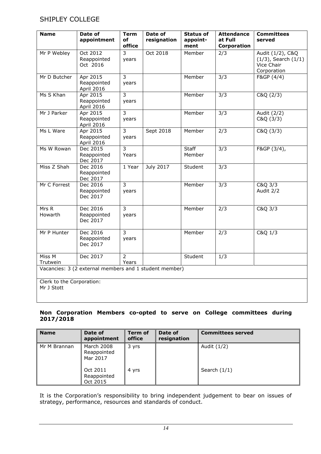| <b>Name</b>                             | Date of<br>appointment                                 | <b>Term</b><br>оf<br>office | Date of<br>resignation | <b>Status of</b><br>appoint-<br>ment | <b>Attendance</b><br>at Full<br>Corporation | <b>Committees</b><br>served                                               |
|-----------------------------------------|--------------------------------------------------------|-----------------------------|------------------------|--------------------------------------|---------------------------------------------|---------------------------------------------------------------------------|
| Mr P Webley                             | Oct 2012<br>Reappointed<br>Oct 2016                    | 3<br>years                  | Oct 2018               | Member                               | 2/3                                         | Audit (1/2), C&Q<br>$(1/3)$ , Search $(1/1)$<br>Vice Chair<br>Corporation |
| Mr D Butcher                            | Apr 2015<br>Reappointed<br>April 2016                  | 3<br>years                  |                        | Member                               | $\overline{3/3}$                            | F&GP (4/4)                                                                |
| Ms S Khan                               | Apr 2015<br>Reappointed<br>April 2016                  | $\overline{3}$<br>years     |                        | Member                               | 3/3                                         | C&Q (2/3)                                                                 |
| Mr J Parker                             | Apr 2015<br>Reappointed<br>April 2016                  | $\overline{3}$<br>years     |                        | Member                               | 3/3                                         | Audit (2/2)<br>C&Q(3/3)                                                   |
| Ms L Ware                               | Apr 2015<br>Reappointed<br>April 2016                  | 3<br>years                  | Sept 2018              | Member                               | 2/3                                         | C&Q (3/3)                                                                 |
| Ms W Rowan                              | Dec 2015<br>Reappointed<br>Dec 2017                    | $\overline{3}$<br>Years     |                        | <b>Staff</b><br>Member               | 3/3                                         | F&GP (3/4),                                                               |
| Miss Z Shah                             | Dec 2016<br>Reappointed<br>Dec 2017                    | 1 Year                      | <b>July 2017</b>       | Student                              | 3/3                                         |                                                                           |
| Mr C Forrest                            | Dec 2016<br>Reappointed<br>Dec 2017                    | $\overline{3}$<br>years     |                        | Member                               | 3/3                                         | C&Q 3/3<br>Audit 2/2                                                      |
| Mrs R<br>Howarth                        | Dec 2016<br>Reappointed<br>Dec 2017                    | 3<br>years                  |                        | Member                               | 2/3                                         | C&Q 3/3                                                                   |
| Mr P Hunter                             | Dec 2016<br>Reappointed<br>Dec 2017                    | $\overline{3}$<br>years     |                        | Member                               | 2/3                                         | C&Q 1/3                                                                   |
| Miss M<br>Trutwein                      | Dec 2017                                               | $\overline{2}$<br>Years     |                        | Student                              | 1/3                                         |                                                                           |
|                                         | Vacancies: 3 (2 external members and 1 student member) |                             |                        |                                      |                                             |                                                                           |
| Clerk to the Corporation:<br>Mr J Stott |                                                        |                             |                        |                                      |                                             |                                                                           |

#### **Non Corporation Members co-opted to serve on College committees during 2017/2018**

| <b>Name</b>  | Date of<br>appointment                | <b>Term of</b><br>office | Date of<br>resignation | <b>Committees served</b> |
|--------------|---------------------------------------|--------------------------|------------------------|--------------------------|
| Mr M Brannan | March 2008<br>Reappointed<br>Mar 2017 | 3 yrs                    |                        | Audit (1/2)              |
|              | Oct 2011<br>Reappointed<br>Oct 2015   | 4 yrs                    |                        | Search $(1/1)$           |

It is the Corporation's responsibility to bring independent judgement to bear on issues of strategy, performance, resources and standards of conduct.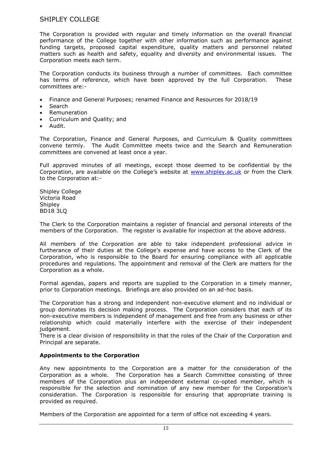The Corporation is provided with regular and timely information on the overall financial performance of the College together with other information such as performance against funding targets, proposed capital expenditure, quality matters and personnel related matters such as health and safety, equality and diversity and environmental issues. The Corporation meets each term.

The Corporation conducts its business through a number of committees. Each committee has terms of reference, which have been approved by the full Corporation. These committees are:-

- Finance and General Purposes; renamed Finance and Resources for 2018/19
- Search
- Remuneration
- Curriculum and Quality; and
- Audit.

The Corporation, Finance and General Purposes, and Curriculum & Quality committees convene termly. The Audit Committee meets twice and the Search and Remuneration committees are convened at least once a year.

Full approved minutes of all meetings, except those deemed to be confidential by the Corporation, are available on the College's website at [www.shipley.ac.uk](http://www.shipley.ac.uk/) or from the Clerk to the Corporation at:-

Shipley College Victoria Road **Shipley** BD18 3LQ

The Clerk to the Corporation maintains a register of financial and personal interests of the members of the Corporation. The register is available for inspection at the above address.

All members of the Corporation are able to take independent professional advice in furtherance of their duties at the College's expense and have access to the Clerk of the Corporation, who is responsible to the Board for ensuring compliance with all applicable procedures and regulations. The appointment and removal of the Clerk are matters for the Corporation as a whole.

Formal agendas, papers and reports are supplied to the Corporation in a timely manner, prior to Corporation meetings. Briefings are also provided on an ad-hoc basis.

The Corporation has a strong and independent non-executive element and no individual or group dominates its decision making process. The Corporation considers that each of its non-executive members is independent of management and free from any business or other relationship which could materially interfere with the exercise of their independent judgement.

There is a clear division of responsibility in that the roles of the Chair of the Corporation and Principal are separate.

#### **Appointments to the Corporation**

Any new appointments to the Corporation are a matter for the consideration of the Corporation as a whole. The Corporation has a Search Committee consisting of three members of the Corporation plus an independent external co-opted member, which is responsible for the selection and nomination of any new member for the Corporation's consideration. The Corporation is responsible for ensuring that appropriate training is provided as required.

Members of the Corporation are appointed for a term of office not exceeding 4 years.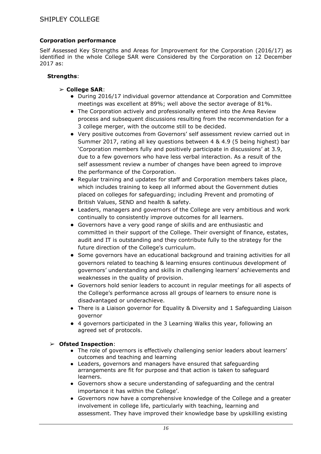### **Corporation performance**

Self Assessed Key Strengths and Areas for Improvement for the Corporation (2016/17) as identified in the whole College SAR were Considered by the Corporation on 12 December 2017 as:

#### **Strengths**:

- ➢ **College SAR**:
	- During 2016/17 individual governor attendance at Corporation and Committee meetings was excellent at 89%; well above the sector average of 81%.
	- The Corporation actively and professionally entered into the Area Review process and subsequent discussions resulting from the recommendation for a 3 college merger, with the outcome still to be decided.
	- Very positive outcomes from Governors' self assessment review carried out in Summer 2017, rating all key questions between 4 & 4.9 (5 being highest) bar 'Corporation members fully and positively participate in discussions' at 3.9, due to a few governors who have less verbal interaction. As a result of the self assessment review a number of changes have been agreed to improve the performance of the Corporation.
	- Regular training and updates for staff and Corporation members takes place, which includes training to keep all informed about the Government duties placed on colleges for safeguarding; including Prevent and promoting of British Values, SEND and health & safety.
	- Leaders, managers and governors of the College are very ambitious and work continually to consistently improve outcomes for all learners.
	- Governors have a very good range of skills and are enthusiastic and committed in their support of the College. Their oversight of finance, estates, audit and IT is outstanding and they contribute fully to the strategy for the future direction of the College's curriculum.
	- Some governors have an educational background and training activities for all governors related to teaching & learning ensures continuous development of governors' understanding and skills in challenging learners' achievements and weaknesses in the quality of provision.
	- Governors hold senior leaders to account in regular meetings for all aspects of the College's performance across all groups of learners to ensure none is disadvantaged or underachieve.
	- There is a Liaison governor for Equality & Diversity and 1 Safeguarding Liaison governor
	- 4 governors participated in the 3 Learning Walks this year, following an agreed set of protocols.

#### ➢ **Ofsted Inspection**:

- The role of governors is effectively challenging senior leaders about learners' outcomes and teaching and learning
- Leaders, governors and managers have ensured that safeguarding arrangements are fit for purpose and that action is taken to safeguard learners.
- Governors show a secure understanding of safeguarding and the central importance it has within the College'.
- Governors now have a comprehensive knowledge of the College and a greater involvement in college life, particularly with teaching, learning and assessment. They have improved their knowledge base by upskilling existing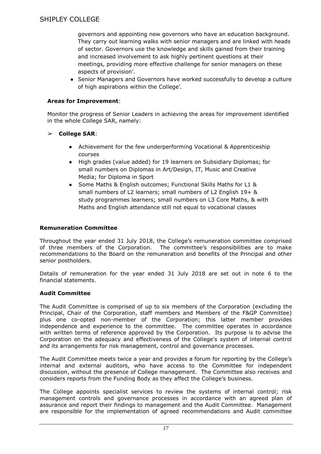governors and appointing new governors who have an education background. They carry out learning walks with senior managers and are linked with heads of sector. Governors use the knowledge and skills gained from their training and increased involvement to ask highly pertinent questions at their meetings, providing more effective challenge for senior managers on these aspects of provision'.

• Senior Managers and Governors have worked successfully to develop a culture of high aspirations within the College'.

### **Areas for Improvement**:

Monitor the progress of Senior Leaders in achieving the areas for improvement identified in the whole College SAR, namely:

### ➢ **College SAR**:

- Achievement for the few underperforming Vocational & Apprenticeship courses
- High grades (value added) for 19 learners on Subsidiary Diplomas; for small numbers on Diplomas in Art/Design, IT, Music and Creative Media; for Diploma in Sport
- Some Maths & English outcomes; Functional Skills Maths for L1 & small numbers of L2 learners; small numbers of L2 English 19+ & study programmes learners; small numbers on L3 Core Maths, & with Maths and English attendance still not equal to vocational classes

### **Remuneration Committee**

Throughout the year ended 31 July 2018, the College's remuneration committee comprised of three members of the Corporation. The committee's responsibilities are to make recommendations to the Board on the remuneration and benefits of the Principal and other senior postholders.

Details of remuneration for the year ended 31 July 2018 are set out in note 6 to the financial statements.

## **Audit Committee**

The Audit Committee is comprised of up to six members of the Corporation (excluding the Principal, Chair of the Corporation, staff members and Members of the F&GP Committee) plus one co-opted non-member of the Corporation; this latter member provides independence and experience to the committee. The committee operates in accordance with written terms of reference approved by the Corporation. Its purpose is to advise the Corporation on the adequacy and effectiveness of the College's system of internal control and its arrangements for risk management, control and governance processes.

The Audit Committee meets twice a year and provides a forum for reporting by the College's internal and external auditors, who have access to the Committee for independent discussion, without the presence of College management. The Committee also receives and considers reports from the Funding Body as they affect the College's business.

The College appoints specialist services to review the systems of internal control; risk management controls and governance processes in accordance with an agreed plan of assurance and report their findings to management and the Audit Committee. Management are responsible for the implementation of agreed recommendations and Audit committee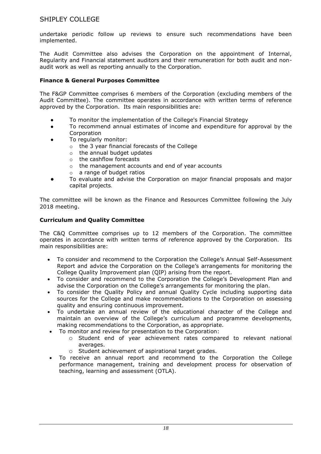undertake periodic follow up reviews to ensure such recommendations have been implemented.

The Audit Committee also advises the Corporation on the appointment of Internal, Regularity and Financial statement auditors and their remuneration for both audit and nonaudit work as well as reporting annually to the Corporation.

### **Finance & General Purposes Committee**

The F&GP Committee comprises 6 members of the Corporation (excluding members of the Audit Committee). The committee operates in accordance with written terms of reference approved by the Corporation. Its main responsibilities are:

- To monitor the implementation of the College's Financial Strategy
- To recommend annual estimates of income and expenditure for approval by the Corporation
- To regularly monitor:
	- o the 3 year financial forecasts of the College
	- o the annual budget updates
	- o the cashflow forecasts
	- o the management accounts and end of year accounts
	- o a range of budget ratios
- To evaluate and advise the Corporation on major financial proposals and major capital projects.

The committee will be known as the Finance and Resources Committee following the July 2018 meeting.

### **Curriculum and Quality Committee**

The C&Q Committee comprises up to 12 members of the Corporation. The committee operates in accordance with written terms of reference approved by the Corporation. Its main responsibilities are:

- To consider and recommend to the Corporation the College's Annual Self-Assessment Report and advice the Corporation on the College's arrangements for monitoring the College Quality Improvement plan (QIP) arising from the report.
- To consider and recommend to the Corporation the College's Development Plan and advise the Corporation on the College's arrangements for monitoring the plan.
- To consider the Quality Policy and annual Quality Cycle including supporting data sources for the College and make recommendations to the Corporation on assessing quality and ensuring continuous improvement.
- To undertake an annual review of the educational character of the College and maintain an overview of the College's curriculum and programme developments, making recommendations to the Corporation, as appropriate.
	- To monitor and review for presentation to the Corporation:
		- o Student end of year achievement rates compared to relevant national averages.
		- o Student achievement of aspirational target grades.
- To receive an annual report and recommend to the Corporation the College performance management, training and development process for observation of teaching, learning and assessment (OTLA).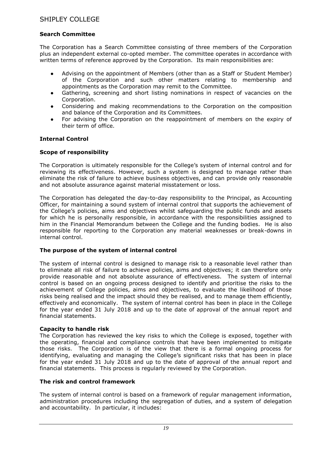### **Search Committee**

The Corporation has a Search Committee consisting of three members of the Corporation plus an independent external co-opted member. The committee operates in accordance with written terms of reference approved by the Corporation. Its main responsibilities are:

- Advising on the appointment of Members (other than as a Staff or Student Member) of the Corporation and such other matters relating to membership and appointments as the Corporation may remit to the Committee.
- Gathering, screening and short listing nominations in respect of vacancies on the Corporation.
- Considering and making recommendations to the Corporation on the composition and balance of the Corporation and its Committees.
- For advising the Corporation on the reappointment of members on the expiry of their term of office.

#### **Internal Control**

#### **Scope of responsibility**

The Corporation is ultimately responsible for the College's system of internal control and for reviewing its effectiveness. However, such a system is designed to manage rather than eliminate the risk of failure to achieve business objectives, and can provide only reasonable and not absolute assurance against material misstatement or loss.

The Corporation has delegated the day-to-day responsibility to the Principal, as Accounting Officer, for maintaining a sound system of internal control that supports the achievement of the College's policies, aims and objectives whilst safeguarding the public funds and assets for which he is personally responsible, in accordance with the responsibilities assigned to him in the Financial Memorandum between the College and the funding bodies. He is also responsible for reporting to the Corporation any material weaknesses or break-downs in internal control.

#### **The purpose of the system of internal control**

The system of internal control is designed to manage risk to a reasonable level rather than to eliminate all risk of failure to achieve policies, aims and objectives; it can therefore only provide reasonable and not absolute assurance of effectiveness. The system of internal control is based on an ongoing process designed to identify and prioritise the risks to the achievement of College policies, aims and objectives, to evaluate the likelihood of those risks being realised and the impact should they be realised, and to manage them efficiently, effectively and economically. The system of internal control has been in place in the College for the year ended 31 July 2018 and up to the date of approval of the annual report and financial statements.

#### **Capacity to handle risk**

The Corporation has reviewed the key risks to which the College is exposed, together with the operating, financial and compliance controls that have been implemented to mitigate those risks. The Corporation is of the view that there is a formal ongoing process for identifying, evaluating and managing the College's significant risks that has been in place for the year ended 31 July 2018 and up to the date of approval of the annual report and financial statements. This process is regularly reviewed by the Corporation.

#### **The risk and control framework**

The system of internal control is based on a framework of regular management information, administration procedures including the segregation of duties, and a system of delegation and accountability. In particular, it includes: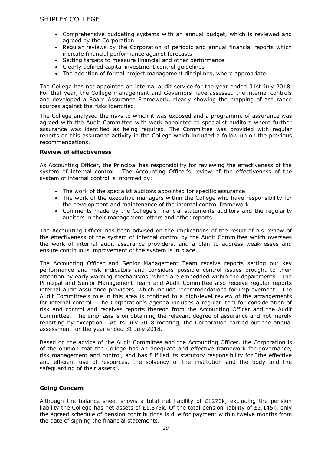- Comprehensive budgeting systems with an annual budget, which is reviewed and agreed by the Corporation
- Regular reviews by the Corporation of periodic and annual financial reports which indicate financial performance against forecasts
- Setting targets to measure financial and other performance
- Clearly defined capital investment control guidelines
- The adoption of formal project management disciplines, where appropriate

The College has not appointed an internal audit service for the year ended 31st July 2018. For that year, the College management and Governors have assessed the internal controls and developed a Board Assurance Framework, clearly showing the mapping of assurance sources against the risks identified.

The College analysed the risks to which it was exposed and a programme of assurance was agreed with the Audit Committee with work appointed to specialist auditors where further assurance was identified as being required. The Committee was provided with regular reports on this assurance activity in the College which included a follow up on the previous recommendations.

#### **Review of effectiveness**

As Accounting Officer, the Principal has responsibility for reviewing the effectiveness of the system of internal control. The Accounting Officer's review of the effectiveness of the system of internal control is informed by:

- The work of the specialist auditors appointed for specific assurance
- The work of the executive managers within the College who have responsibility for the development and maintenance of the internal control framework
- Comments made by the College's financial statements auditors and the regularity auditors in their management letters and other reports.

The Accounting Officer has been advised on the implications of the result of his review of the effectiveness of the system of internal control by the Audit Committee which oversees the work of internal audit assurance providers, and a plan to address weaknesses and ensure continuous improvement of the system is in place.

The Accounting Officer and Senior Management Team receive reports setting out key performance and risk indicators and considers possible control issues brought to their attention by early warning mechanisms, which are embedded within the departments. The Principal and Senior Management Team and Audit Committee also receive regular reports internal audit assurance providers, which include recommendations for improvement. The Audit Committee's role in this area is confined to a high-level review of the arrangements for internal control. The Corporation's agenda includes a regular item for consideration of risk and control and receives reports thereon from the Accounting Officer and the Audit Committee. The emphasis is on obtaining the relevant degree of assurance and not merely reporting by exception. At its July 2018 meeting, the Corporation carried out the annual assessment for the year ended 31 July 2018.

Based on the advice of the Audit Committee and the Accounting Officer, the Corporation is of the opinion that the College has an adequate and effective framework for governance, risk management and control, and has fulfilled its statutory responsibility for "the effective and efficient use of resources, the solvency of the institution and the body and the safeguarding of their assets".

#### **Going Concern**

Although the balance sheet shows a total net liability of  $E1270k$ , excluding the pension liability the College has net assets of £1,875k. Of the total pension liability of £3,145k, only the agreed schedule of pension contributions is due for payment within twelve months from the date of signing the financial statements.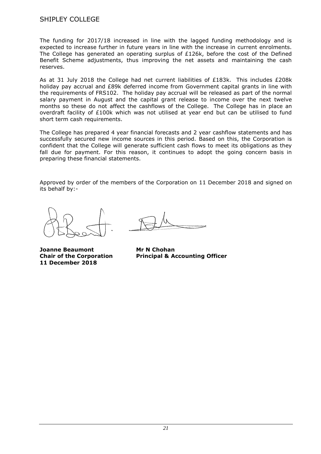The funding for 2017/18 increased in line with the lagged funding methodology and is expected to increase further in future years in line with the increase in current enrolments. The College has generated an operating surplus of £126k, before the cost of the Defined Benefit Scheme adjustments, thus improving the net assets and maintaining the cash reserves.

As at 31 July 2018 the College had net current liabilities of  $E183k$ . This includes  $E208k$ holiday pay accrual and £89k deferred income from Government capital grants in line with the requirements of FRS102. The holiday pay accrual will be released as part of the normal salary payment in August and the capital grant release to income over the next twelve months so these do not affect the cashflows of the College. The College has in place an overdraft facility of £100k which was not utilised at year end but can be utilised to fund short term cash requirements.

The College has prepared 4 year financial forecasts and 2 year cashflow statements and has successfully secured new income sources in this period. Based on this, the Corporation is confident that the College will generate sufficient cash flows to meet its obligations as they fall due for payment. For this reason, it continues to adopt the going concern basis in preparing these financial statements.

Approved by order of the members of the Corporation on 11 December 2018 and signed on its behalf by:-

**Joanne Beaumont Mr N Chohan 11 December 2018**

**Chair of the Corporation Principal & Accounting Officer**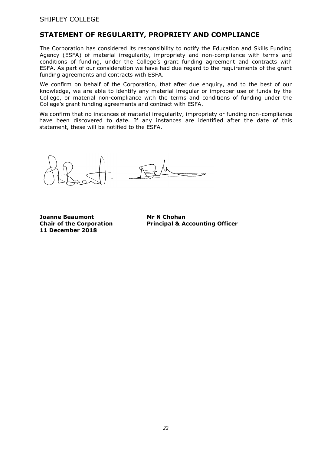## **STATEMENT OF REGULARITY, PROPRIETY AND COMPLIANCE**

The Corporation has considered its responsibility to notify the Education and Skills Funding Agency (ESFA) of material irregularity, impropriety and non-compliance with terms and conditions of funding, under the College's grant funding agreement and contracts with ESFA. As part of our consideration we have had due regard to the requirements of the grant funding agreements and contracts with ESFA.

We confirm on behalf of the Corporation, that after due enquiry, and to the best of our knowledge, we are able to identify any material irregular or improper use of funds by the College, or material non-compliance with the terms and conditions of funding under the College's grant funding agreements and contract with ESFA.

We confirm that no instances of material irregularity, impropriety or funding non-compliance have been discovered to date. If any instances are identified after the date of this statement, these will be notified to the ESFA.

**Joanne Beaumont Mr N Chohan 11 December 2018**

**Chair of the Corporation Principal & Accounting Officer**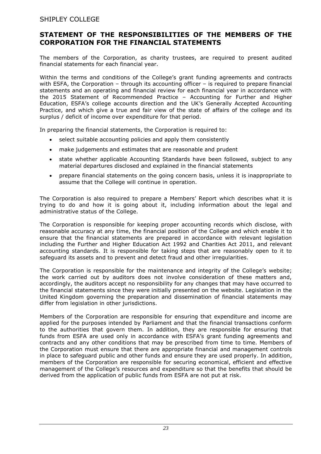## **STATEMENT OF THE RESPONSIBILITIES OF THE MEMBERS OF THE CORPORATION FOR THE FINANCIAL STATEMENTS**

The members of the Corporation, as charity trustees, are required to present audited financial statements for each financial year.

Within the terms and conditions of the College's grant funding agreements and contracts with ESFA, the Corporation – through its accounting officer – is required to prepare financial statements and an operating and financial review for each financial year in accordance with the 2015 Statement of Recommended Practice – Accounting for Further and Higher Education, ESFA's college accounts direction and the UK's Generally Accepted Accounting Practice, and which give a true and fair view of the state of affairs of the college and its surplus / deficit of income over expenditure for that period.

In preparing the financial statements, the Corporation is required to:

- select suitable accounting policies and apply them consistently
- make judgements and estimates that are reasonable and prudent
- state whether applicable Accounting Standards have been followed, subject to any material departures disclosed and explained in the financial statements
- prepare financial statements on the going concern basis, unless it is inappropriate to assume that the College will continue in operation.

The Corporation is also required to prepare a Members' Report which describes what it is trying to do and how it is going about it, including information about the legal and administrative status of the College.

The Corporation is responsible for keeping proper accounting records which disclose, with reasonable accuracy at any time, the financial position of the College and which enable it to ensure that the financial statements are prepared in accordance with relevant legislation including the Further and Higher Education Act 1992 and Charities Act 2011, and relevant accounting standards. It is responsible for taking steps that are reasonably open to it to safeguard its assets and to prevent and detect fraud and other irregularities.

The Corporation is responsible for the maintenance and integrity of the College's website; the work carried out by auditors does not involve consideration of these matters and, accordingly, the auditors accept no responsibility for any changes that may have occurred to the financial statements since they were initially presented on the website. Legislation in the United Kingdom governing the preparation and dissemination of financial statements may differ from legislation in other jurisdictions.

Members of the Corporation are responsible for ensuring that expenditure and income are applied for the purposes intended by Parliament and that the financial transactions conform to the authorities that govern them. In addition, they are responsible for ensuring that funds from ESFA are used only in accordance with ESFA's grant funding agreements and contracts and any other conditions that may be prescribed from time to time. Members of the Corporation must ensure that there are appropriate financial and management controls in place to safeguard public and other funds and ensure they are used properly. In addition, members of the Corporation are responsible for securing economical, efficient and effective management of the College's resources and expenditure so that the benefits that should be derived from the application of public funds from ESFA are not put at risk.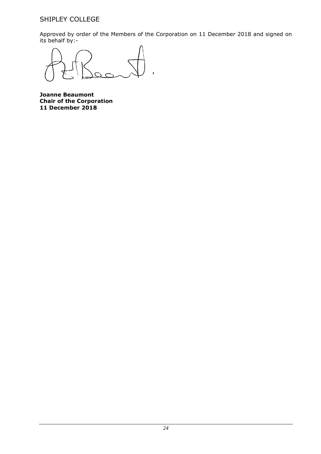Approved by order of the Members of the Corporation on 11 December 2018 and signed on its behalf by:-

**Joanne Beaumont Chair of the Corporation 11 December 2018**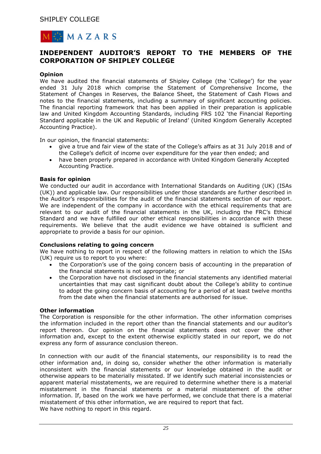

## **INDEPENDENT AUDITOR'S REPORT TO THE MEMBERS OF THE CORPORATION OF SHIPLEY COLLEGE**

#### **Opinion**

We have audited the financial statements of Shipley College (the 'College') for the year ended 31 July 2018 which comprise the Statement of Comprehensive Income, the Statement of Changes in Reserves, the Balance Sheet, the Statement of Cash Flows and notes to the financial statements, including a summary of significant accounting policies. The financial reporting framework that has been applied in their preparation is applicable law and United Kingdom Accounting Standards, including FRS 102 'the Financial Reporting Standard applicable in the UK and Republic of Ireland' (United Kingdom Generally Accepted Accounting Practice).

In our opinion, the financial statements:

- give a true and fair view of the state of the College's affairs as at 31 July 2018 and of the College's deficit of income over expenditure for the year then ended; and
- have been properly prepared in accordance with United Kingdom Generally Accepted Accounting Practice.

#### **Basis for opinion**

We conducted our audit in accordance with International Standards on Auditing (UK) (ISAs (UK)) and applicable law. Our responsibilities under those standards are further described in the Auditor's responsibilities for the audit of the financial statements section of our report. We are independent of the company in accordance with the ethical requirements that are relevant to our audit of the financial statements in the UK, including the FRC's Ethical Standard and we have fulfilled our other ethical responsibilities in accordance with these requirements. We believe that the audit evidence we have obtained is sufficient and appropriate to provide a basis for our opinion.

#### **Conclusions relating to going concern**

We have nothing to report in respect of the following matters in relation to which the ISAs (UK) require us to report to you where:

- the Corporation's use of the going concern basis of accounting in the preparation of the financial statements is not appropriate; or
- the Corporation have not disclosed in the financial statements any identified material uncertainties that may cast significant doubt about the College's ability to continue to adopt the going concern basis of accounting for a period of at least twelve months from the date when the financial statements are authorised for issue.

#### **Other information**

The Corporation is responsible for the other information. The other information comprises the information included in the report other than the financial statements and our auditor's report thereon. Our opinion on the financial statements does not cover the other information and, except to the extent otherwise explicitly stated in our report, we do not express any form of assurance conclusion thereon.

In connection with our audit of the financial statements, our responsibility is to read the other information and, in doing so, consider whether the other information is materially inconsistent with the financial statements or our knowledge obtained in the audit or otherwise appears to be materially misstated. If we identify such material inconsistencies or apparent material misstatements, we are required to determine whether there is a material misstatement in the financial statements or a material misstatement of the other information. If, based on the work we have performed, we conclude that there is a material misstatement of this other information, we are required to report that fact. We have nothing to report in this regard.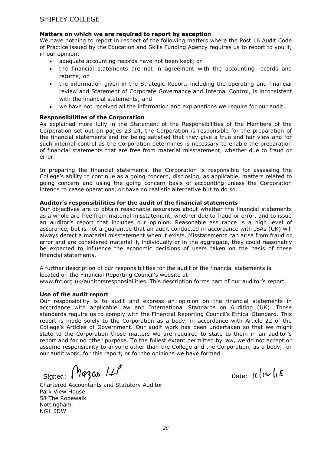#### **Matters on which we are required to report by exception**

We have nothing to report in respect of the following matters where the Post 16 Audit Code of Practice issued by the Education and Skills Funding Agency requires us to report to you if, in our opinion:

- adequate accounting records have not been kept; or
- the financial statements are not in agreement with the accounting records and returns; or
- the information given in the Strategic Report, including the operating and financial review and Statement of Corporate Governance and Internal Control, is inconsistent with the financial statements; and
- we have not received all the information and explanations we require for our audit.

### **Responsibilities of the Corporation**

As explained more fully in the Statement of the Responsibilities of the Members of the Corporation set out on pages 23-24, the Corporation is responsible for the preparation of the financial statements and for being satisfied that they give a true and fair view and for such internal control as the Corporation determines is necessary to enable the preparation of financial statements that are free from material misstatement, whether due to fraud or error.

In preparing the financial statements, the Corporation is responsible for assessing the College's ability to continue as a going concern, disclosing, as applicable, matters related to going concern and using the going concern basis of accounting unless the Corporation intends to cease operations, or have no realistic alternative but to do so.

#### **Auditor's responsibilities for the audit of the financial statements**

Our objectives are to obtain reasonable assurance about whether the financial statements as a whole are free from material misstatement, whether due to fraud or error, and to issue an auditor's report that includes our opinion. Reasonable assurance is a high level of assurance, but is not a guarantee that an audit conducted in accordance with ISAs (UK) will always detect a material misstatement when it exists. Misstatements can arise from fraud or error and are considered material if, individually or in the aggregate, they could reasonably be expected to influence the economic decisions of users taken on the basis of these financial statements.

A further description of our responsibilities for the audit of the financial statements is located on the Financial Reporting Council's website at www.frc.org.uk/auditorsresponsibilities. This description forms part of our auditor's report.

#### **Use of the audit report**

Our responsibility is to audit and express an opinion on the financial statements in accordance with applicable law and International Standards on Auditing (UK). Those standards require us to comply with the Financial Reporting Council's Ethical Standard. This report is made solely to the Corporation as a body, in accordance with Article 22 of the College's Articles of Government. Our audit work has been undertaken so that we might state to the Corporation those matters we are required to state to them in an auditor's report and for no other purpose. To the fullest extent permitted by law, we do not accept or assume responsibility to anyone other than the College and the Corporation, as a body, for our audit work, for this report, or for the opinions we have formed.

 $_{\text{Signed:}}$  Mazco  $\mu$ 

Date:  $11(v)(8)$ 

Chartered Accountants and Statutory Auditor Park View House 58 The Ropewalk Nottingham NG1 5DW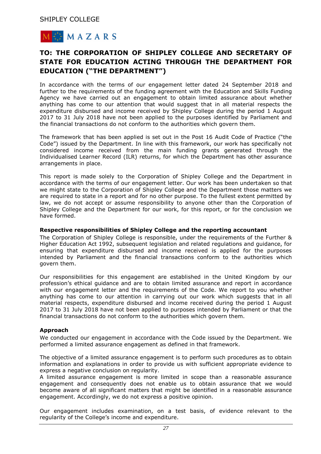

## **TO: THE CORPORATION OF SHIPLEY COLLEGE AND SECRETARY OF STATE FOR EDUCATION ACTING THROUGH THE DEPARTMENT FOR EDUCATION ("THE DEPARTMENT")**

In accordance with the terms of our engagement letter dated 24 September 2018 and further to the requirements of the funding agreement with the Education and Skills Funding Agency we have carried out an engagement to obtain limited assurance about whether anything has come to our attention that would suggest that in all material respects the expenditure disbursed and income received by Shipley College during the period 1 August 2017 to 31 July 2018 have not been applied to the purposes identified by Parliament and the financial transactions do not conform to the authorities which govern them.

The framework that has been applied is set out in the Post 16 Audit Code of Practice ("the Code") issued by the Department. In line with this framework, our work has specifically not considered income received from the main funding grants generated through the Individualised Learner Record (ILR) returns, for which the Department has other assurance arrangements in place.

This report is made solely to the Corporation of Shipley College and the Department in accordance with the terms of our engagement letter. Our work has been undertaken so that we might state to the Corporation of Shipley College and the Department those matters we are required to state in a report and for no other purpose. To the fullest extent permitted by law, we do not accept or assume responsibility to anyone other than the Corporation of Shipley College and the Department for our work, for this report, or for the conclusion we have formed.

#### **Respective responsibilities of Shipley College and the reporting accountant**

The Corporation of Shipley College is responsible, under the requirements of the Further & Higher Education Act 1992, subsequent legislation and related regulations and guidance, for ensuring that expenditure disbursed and income received is applied for the purposes intended by Parliament and the financial transactions conform to the authorities which govern them.

Our responsibilities for this engagement are established in the United Kingdom by our profession's ethical guidance and are to obtain limited assurance and report in accordance with our engagement letter and the requirements of the Code. We report to you whether anything has come to our attention in carrying out our work which suggests that in all material respects, expenditure disbursed and income received during the period 1 August 2017 to 31 July 2018 have not been applied to purposes intended by Parliament or that the financial transactions do not conform to the authorities which govern them.

#### **Approach**

We conducted our engagement in accordance with the Code issued by the Department. We performed a limited assurance engagement as defined in that framework.

The objective of a limited assurance engagement is to perform such procedures as to obtain information and explanations in order to provide us with sufficient appropriate evidence to express a negative conclusion on regularity.

A limited assurance engagement is more limited in scope than a reasonable assurance engagement and consequently does not enable us to obtain assurance that we would become aware of all significant matters that might be identified in a reasonable assurance engagement. Accordingly, we do not express a positive opinion.

Our engagement includes examination, on a test basis, of evidence relevant to the regularity of the College's income and expenditure.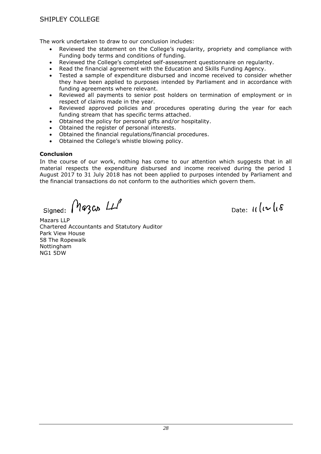The work undertaken to draw to our conclusion includes:

- Reviewed the statement on the College's regularity, propriety and compliance with Funding body terms and conditions of funding.
- Reviewed the College's completed self-assessment questionnaire on regularity.
- Read the financial agreement with the Education and Skills Funding Agency.
- Tested a sample of expenditure disbursed and income received to consider whether they have been applied to purposes intended by Parliament and in accordance with funding agreements where relevant.
- Reviewed all payments to senior post holders on termination of employment or in respect of claims made in the year.
- Reviewed approved policies and procedures operating during the year for each funding stream that has specific terms attached.
- Obtained the policy for personal gifts and/or hospitality.
- Obtained the register of personal interests.
- Obtained the financial regulations/financial procedures.
- Obtained the College's whistle blowing policy.

#### **Conclusion**

In the course of our work, nothing has come to our attention which suggests that in all material respects the expenditure disbursed and income received during the period 1 August 2017 to 31 July 2018 has not been applied to purposes intended by Parliament and the financial transactions do not conform to the authorities which govern them.

Mazas LLP Signed:

Date:  $\iota\iota(\iota\mathcal{L})$ 

Mazars LLP Chartered Accountants and Statutory Auditor Park View House 58 The Ropewalk Nottingham NG1 5DW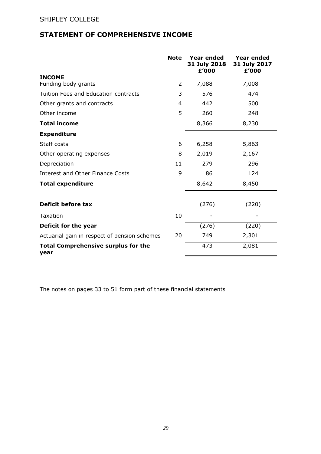## **STATEMENT OF COMPREHENSIVE INCOME**

|                                                    | <b>Note</b> | <b>Year ended</b><br>31 July 2018<br>£'000 | <b>Year ended</b><br>31 July 2017<br>£'000 |
|----------------------------------------------------|-------------|--------------------------------------------|--------------------------------------------|
| <b>INCOME</b>                                      |             |                                            |                                            |
| Funding body grants                                | 2           | 7,088                                      | 7,008                                      |
| Tuition Fees and Education contracts               | 3           | 576                                        | 474                                        |
| Other grants and contracts                         | 4           | 442                                        | 500                                        |
| Other income                                       | 5           | 260                                        | 248                                        |
| <b>Total income</b>                                |             | 8,366                                      | 8,230                                      |
| <b>Expenditure</b>                                 |             |                                            |                                            |
| Staff costs                                        | 6           | 6,258                                      | 5,863                                      |
| Other operating expenses                           | 8           | 2,019                                      | 2,167                                      |
| Depreciation                                       | 11          | 279                                        | 296                                        |
| <b>Interest and Other Finance Costs</b>            | 9           | 86                                         | 124                                        |
| <b>Total expenditure</b>                           |             | 8,642                                      | 8,450                                      |
|                                                    |             |                                            |                                            |
| Deficit before tax                                 |             | (276)                                      | (220)                                      |
| Taxation                                           | 10          |                                            |                                            |
| Deficit for the year                               |             | (276)                                      | (220)                                      |
| Actuarial gain in respect of pension schemes       | 20          | 749                                        | 2,301                                      |
| <b>Total Comprehensive surplus for the</b><br>year |             | 473                                        | 2,081                                      |

The notes on pages 33 to 51 form part of these financial statements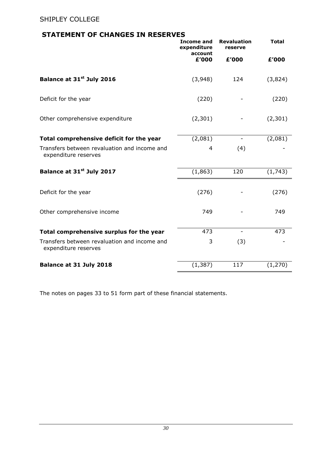## **STATEMENT OF CHANGES IN RESERVES**

|                                                                      | <b>Income and</b><br>expenditure<br>account | <b>Revaluation</b><br>reserve | <b>Total</b> |
|----------------------------------------------------------------------|---------------------------------------------|-------------------------------|--------------|
|                                                                      | £'000                                       | £'000                         | £'000        |
| Balance at 31 <sup>st</sup> July 2016                                | (3,948)                                     | 124                           | (3,824)      |
| Deficit for the year                                                 | (220)                                       |                               | (220)        |
| Other comprehensive expenditure                                      | (2,301)                                     |                               | (2,301)      |
| Total comprehensive deficit for the year                             | (2,081)                                     | $\overline{\phantom{a}}$      | (2,081)      |
| Transfers between revaluation and income and<br>expenditure reserves | 4                                           | (4)                           |              |
| Balance at 31 <sup>st</sup> July 2017                                | (1,863)                                     | 120                           | (1,743)      |
| Deficit for the year                                                 | (276)                                       |                               | (276)        |
| Other comprehensive income                                           | 749                                         |                               | 749          |
| Total comprehensive surplus for the year                             | 473                                         |                               | 473          |
| Transfers between revaluation and income and<br>expenditure reserves | 3                                           | (3)                           |              |
| Balance at 31 July 2018                                              | (1, 387)                                    | 117                           | (1, 270)     |

The notes on pages 33 to 51 form part of these financial statements.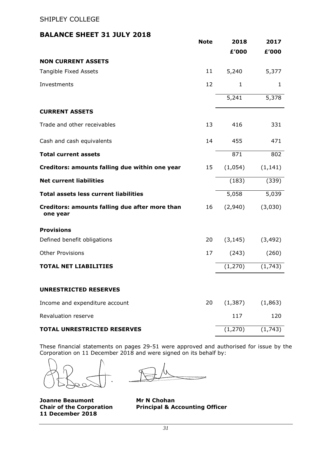## **BALANCE SHEET 31 JULY 2018**

|                                                            | <b>Note</b> | 2018     | 2017     |
|------------------------------------------------------------|-------------|----------|----------|
|                                                            |             | £'000    | £'000    |
| <b>NON CURRENT ASSETS</b>                                  |             |          |          |
| Tangible Fixed Assets                                      | 11          | 5,240    | 5,377    |
| Investments                                                | 12          | 1        | 1        |
|                                                            |             | 5,241    | 5,378    |
| <b>CURRENT ASSETS</b>                                      |             |          |          |
| Trade and other receivables                                | 13          | 416      | 331      |
| Cash and cash equivalents                                  | 14          | 455      | 471      |
| <b>Total current assets</b>                                |             | 871      | 802      |
| Creditors: amounts falling due within one year             | 15          | (1,054)  | (1, 141) |
| <b>Net current liabilities</b>                             |             | (183)    | (339)    |
| <b>Total assets less current liabilities</b>               |             | 5,058    | 5,039    |
| Creditors: amounts falling due after more than<br>one year | 16          | (2,940)  | (3,030)  |
| <b>Provisions</b>                                          |             |          |          |
| Defined benefit obligations                                | 20          | (3, 145) | (3, 492) |
| <b>Other Provisions</b>                                    | 17          | (243)    | (260)    |
| <b>TOTAL NET LIABILITIES</b>                               |             | (1, 270) | (1,743)  |
| <b>UNRESTRICTED RESERVES</b>                               |             |          |          |
| Income and expenditure account                             | 20          | (1, 387) | (1,863)  |
| Revaluation reserve                                        |             | 117      | 120      |
| <b>TOTAL UNRESTRICTED RESERVES</b>                         |             | (1, 270) | (1,743)  |

These financial statements on pages 29-51 were approved and authorised for issue by the Corporation on 11 December 2018 and were signed on its behalf by:

**Joanne Beaumont Mr N Chohan 11 December 2018**

**Chair of the Corporation Principal & Accounting Officer**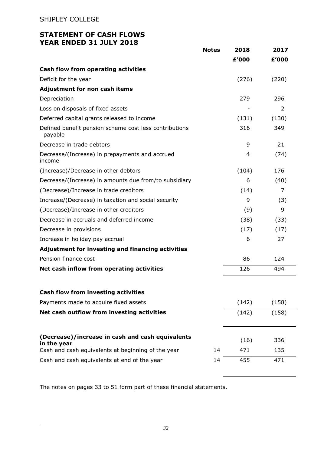## **STATEMENT OF CASH FLOWS YEAR ENDED 31 JULY 2018**

|                                                                   | <b>Notes</b> | 2018  | 2017  |
|-------------------------------------------------------------------|--------------|-------|-------|
|                                                                   |              | £'000 | £'000 |
| Cash flow from operating activities                               |              |       |       |
| Deficit for the year                                              |              | (276) | (220) |
| Adjustment for non cash items                                     |              |       |       |
| Depreciation                                                      |              | 279   | 296   |
| Loss on disposals of fixed assets                                 |              |       | 2     |
| Deferred capital grants released to income                        |              | (131) | (130) |
| Defined benefit pension scheme cost less contributions<br>payable |              | 316   | 349   |
| Decrease in trade debtors                                         |              | 9     | 21    |
| Decrease/(Increase) in prepayments and accrued<br>income          |              | 4     | (74)  |
| (Increase)/Decrease in other debtors                              |              | (104) | 176   |
| Decrease/(Increase) in amounts due from/to subsidiary             |              | 6     | (40)  |
| (Decrease)/Increase in trade creditors                            |              | (14)  | 7     |
| Increase/(Decrease) in taxation and social security               |              | 9     | (3)   |
| (Decrease)/Increase in other creditors                            |              | (9)   | 9     |
| Decrease in accruals and deferred income                          |              | (38)  | (33)  |
| Decrease in provisions                                            |              | (17)  | (17)  |
| Increase in holiday pay accrual                                   |              | 6     | 27    |
| Adjustment for investing and financing activities                 |              |       |       |
| Pension finance cost                                              |              | 86    | 124   |
| Net cash inflow from operating activities                         |              | 126   | 494   |
| Cash flow from investing activities                               |              |       |       |
| Payments made to acquire fixed assets                             |              | (142) | (158) |
| Net cash outflow from investing activities                        |              | (142) | (158) |
| (Decrease)/increase in cash and cash equivalents                  |              | (16)  | 336   |
| in the year<br>Cash and cash equivalents at beginning of the year | 14           | 471   | 135   |
| Cash and cash equivalents at end of the year                      | 14           | 455   | 471   |

The notes on pages 33 to 51 form part of these financial statements.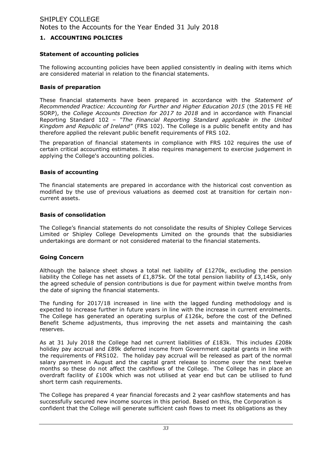### **1. ACCOUNTING POLICIES**

#### **Statement of accounting policies**

The following accounting policies have been applied consistently in dealing with items which are considered material in relation to the financial statements.

#### **Basis of preparation**

These financial statements have been prepared in accordance with the *Statement of Recommended Practice: Accounting for Further and Higher Education 2015* (the 2015 FE HE SORP), the *College Accounts Direction for 2017 to 2018* and in accordance with Financial Reporting Standard 102 – *"The Financial Reporting Standard applicable in the United Kingdom and Republic of Ireland"* (FRS 102). The College is a public benefit entity and has therefore applied the relevant public benefit requirements of FRS 102.

The preparation of financial statements in compliance with FRS 102 requires the use of certain critical accounting estimates. It also requires management to exercise judgement in applying the College's accounting policies.

### **Basis of accounting**

The financial statements are prepared in accordance with the historical cost convention as modified by the use of previous valuations as deemed cost at transition for certain noncurrent assets.

#### **Basis of consolidation**

The College's financial statements do not consolidate the results of Shipley College Services Limited or Shipley College Developments Limited on the grounds that the subsidiaries undertakings are dormant or not considered material to the financial statements.

#### **Going Concern**

Although the balance sheet shows a total net liability of  $£1270k$ , excluding the pension liability the College has net assets of £1,875k. Of the total pension liability of £3,145k, only the agreed schedule of pension contributions is due for payment within twelve months from the date of signing the financial statements.

The funding for 2017/18 increased in line with the lagged funding methodology and is expected to increase further in future years in line with the increase in current enrolments. The College has generated an operating surplus of £126k, before the cost of the Defined Benefit Scheme adjustments, thus improving the net assets and maintaining the cash reserves.

As at 31 July 2018 the College had net current liabilities of £183k. This includes £208k holiday pay accrual and £89k deferred income from Government capital grants in line with the requirements of FRS102. The holiday pay accrual will be released as part of the normal salary payment in August and the capital grant release to income over the next twelve months so these do not affect the cashflows of the College. The College has in place an overdraft facility of £100k which was not utilised at year end but can be utilised to fund short term cash requirements.

The College has prepared 4 year financial forecasts and 2 year cashflow statements and has successfully secured new income sources in this period. Based on this, the Corporation is confident that the College will generate sufficient cash flows to meet its obligations as they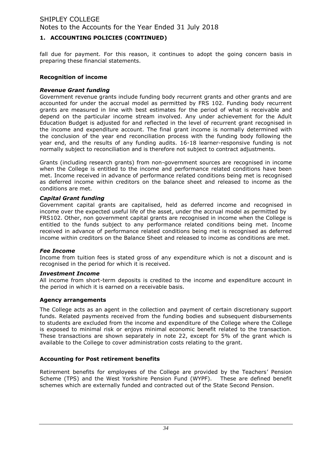### **1. ACCOUNTING POLICIES (CONTINUED)**

fall due for payment. For this reason, it continues to adopt the going concern basis in preparing these financial statements.

#### **Recognition of income**

### *Revenue Grant funding*

Government revenue grants include funding body recurrent grants and other grants and are accounted for under the accrual model as permitted by FRS 102. Funding body recurrent grants are measured in line with best estimates for the period of what is receivable and depend on the particular income stream involved. Any under achievement for the Adult Education Budget is adjusted for and reflected in the level of recurrent grant recognised in the income and expenditure account. The final grant income is normally determined with the conclusion of the year end reconciliation process with the funding body following the year end, and the results of any funding audits. 16-18 learner-responsive funding is not normally subject to reconciliation and is therefore not subject to contract adjustments.

Grants (including research grants) from non-government sources are recognised in income when the College is entitled to the income and performance related conditions have been met. Income received in advance of performance related conditions being met is recognised as deferred income within creditors on the balance sheet and released to income as the conditions are met.

#### *Capital Grant funding*

Government capital grants are capitalised, held as deferred income and recognised in income over the expected useful life of the asset, under the accrual model as permitted by FRS102. Other, non government capital grants are recognised in income when the College is entitled to the funds subject to any performance related conditions being met. Income received in advance of performance related conditions being met is recognised as deferred income within creditors on the Balance Sheet and released to income as conditions are met.

#### *Fee Income*

Income from tuition fees is stated gross of any expenditure which is not a discount and is recognised in the period for which it is received.

#### *Investment Income*

All income from short-term deposits is credited to the income and expenditure account in the period in which it is earned on a receivable basis.

#### **Agency arrangements**

The College acts as an agent in the collection and payment of certain discretionary support funds. Related payments received from the funding bodies and subsequent disbursements to students are excluded from the income and expenditure of the College where the College is exposed to minimal risk or enjoys minimal economic benefit related to the transaction. These transactions are shown separately in note 22, except for 5% of the grant which is available to the College to cover administration costs relating to the grant.

#### **Accounting for Post retirement benefits**

Retirement benefits for employees of the College are provided by the Teachers' Pension Scheme (TPS) and the West Yorkshire Pension Fund (WYPF). These are defined benefit schemes which are externally funded and contracted out of the State Second Pension.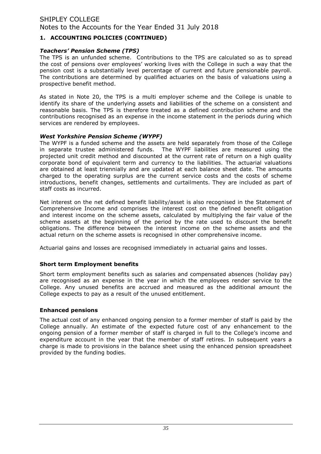### **1. ACCOUNTING POLICIES (CONTINUED)**

#### *Teachers' Pension Scheme (TPS)*

The TPS is an unfunded scheme. Contributions to the TPS are calculated so as to spread the cost of pensions over employees' working lives with the College in such a way that the pension cost is a substantially level percentage of current and future pensionable payroll. The contributions are determined by qualified actuaries on the basis of valuations using a prospective benefit method.

As stated in Note 20, the TPS is a multi employer scheme and the College is unable to identify its share of the underlying assets and liabilities of the scheme on a consistent and reasonable basis. The TPS is therefore treated as a defined contribution scheme and the contributions recognised as an expense in the income statement in the periods during which services are rendered by employees.

### *West Yorkshire Pension Scheme (WYPF)*

The WYPF is a funded scheme and the assets are held separately from those of the College in separate trustee administered funds. The WYPF liabilities are measured using the projected unit credit method and discounted at the current rate of return on a high quality corporate bond of equivalent term and currency to the liabilities. The actuarial valuations are obtained at least triennially and are updated at each balance sheet date. The amounts charged to the operating surplus are the current service costs and the costs of scheme introductions, benefit changes, settlements and curtailments. They are included as part of staff costs as incurred.

Net interest on the net defined benefit liability/asset is also recognised in the Statement of Comprehensive Income and comprises the interest cost on the defined benefit obligation and interest income on the scheme assets, calculated by multiplying the fair value of the scheme assets at the beginning of the period by the rate used to discount the benefit obligations. The difference between the interest income on the scheme assets and the actual return on the scheme assets is recognised in other comprehensive income.

Actuarial gains and losses are recognised immediately in actuarial gains and losses.

### **Short term Employment benefits**

Short term employment benefits such as salaries and compensated absences (holiday pay) are recognised as an expense in the year in which the employees render service to the College. Any unused benefits are accrued and measured as the additional amount the College expects to pay as a result of the unused entitlement.

#### **Enhanced pensions**

The actual cost of any enhanced ongoing pension to a former member of staff is paid by the College annually. An estimate of the expected future cost of any enhancement to the ongoing pension of a former member of staff is charged in full to the College's income and expenditure account in the year that the member of staff retires. In subsequent years a charge is made to provisions in the balance sheet using the enhanced pension spreadsheet provided by the funding bodies.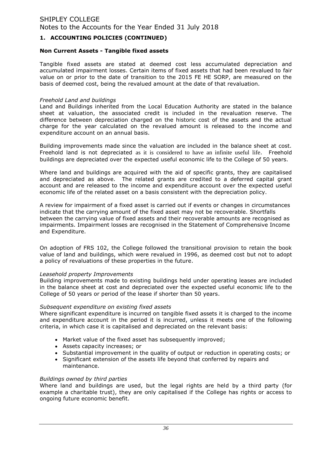### **1. ACCOUNTING POLICIES (CONTINUED)**

#### **Non Current Assets - Tangible fixed assets**

Tangible fixed assets are stated at deemed cost less accumulated depreciation and accumulated impairment losses. Certain items of fixed assets that had been revalued to fair value on or prior to the date of transition to the 2015 FE HE SORP, are measured on the basis of deemed cost, being the revalued amount at the date of that revaluation.

#### *Freehold Land and buildings*

Land and Buildings inherited from the Local Education Authority are stated in the balance sheet at valuation, the associated credit is included in the revaluation reserve. The difference between depreciation charged on the historic cost of the assets and the actual charge for the year calculated on the revalued amount is released to the income and expenditure account on an annual basis.

Building improvements made since the valuation are included in the balance sheet at cost. Freehold land is not depreciated as it is considered to have an infinite useful life. Freehold buildings are depreciated over the expected useful economic life to the College of 50 years.

Where land and buildings are acquired with the aid of specific grants, they are capitalised and depreciated as above. The related grants are credited to a deferred capital grant account and are released to the income and expenditure account over the expected useful economic life of the related asset on a basis consistent with the depreciation policy.

A review for impairment of a fixed asset is carried out if events or changes in circumstances indicate that the carrying amount of the fixed asset may not be recoverable. Shortfalls between the carrying value of fixed assets and their recoverable amounts are recognised as impairments. Impairment losses are recognised in the Statement of Comprehensive Income and Expenditure.

On adoption of FRS 102, the College followed the transitional provision to retain the book value of land and buildings, which were revalued in 1996, as deemed cost but not to adopt a policy of revaluations of these properties in the future.

#### *Leasehold property Improvements*

Building improvements made to existing buildings held under operating leases are included in the balance sheet at cost and depreciated over the expected useful economic life to the College of 50 years or period of the lease if shorter than 50 years.

#### *Subsequent expenditure on existing fixed assets*

Where significant expenditure is incurred on tangible fixed assets it is charged to the income and expenditure account in the period it is incurred, unless it meets one of the following criteria, in which case it is capitalised and depreciated on the relevant basis:

- Market value of the fixed asset has subsequently improved;
- Assets capacity increases; or
- Substantial improvement in the quality of output or reduction in operating costs; or
- Significant extension of the assets life beyond that conferred by repairs and maintenance.

#### *Buildings owned by third parties*

Where land and buildings are used, but the legal rights are held by a third party (for example a charitable trust), they are only capitalised if the College has rights or access to ongoing future economic benefit.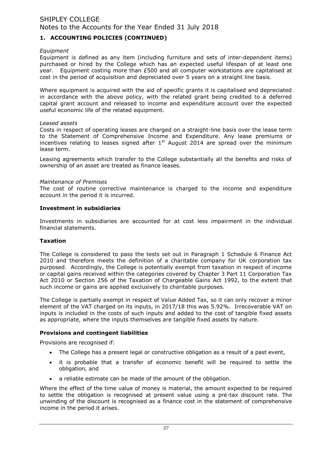### **1. ACCOUNTING POLICIES (CONTINUED)**

#### *Equipment*

Equipment is defined as any item (including furniture and sets of inter-dependent items) purchased or hired by the College which has an expected useful lifespan of at least one year. Equipment costing more than £500 and all computer workstations are capitalised at cost in the period of acquisition and depreciated over 5 years on a straight line basis.

Where equipment is acquired with the aid of specific grants it is capitalised and depreciated in accordance with the above policy, with the related grant being credited to a deferred capital grant account and released to income and expenditure account over the expected useful economic life of the related equipment.

#### *Leased assets*

Costs in respect of operating leases are charged on a straight-line basis over the lease term to the Statement of Comprehensive Income and Expenditure. Any lease premiums or incentives relating to leases signed after  $1<sup>st</sup>$  August 2014 are spread over the minimum lease term.

Leasing agreements which transfer to the College substantially all the benefits and risks of ownership of an asset are treated as finance leases.

#### *Maintenance of Premises*

The cost of routine corrective maintenance is charged to the income and expenditure account in the period it is incurred.

#### **Investment in subsidiaries**

Investments in subsidiaries are accounted for at cost less impairment in the individual financial statements.

#### **Taxation**

The College is considered to pass the tests set out in Paragraph 1 Schedule 6 Finance Act 2010 and therefore meets the definition of a charitable company for UK corporation tax purposed. Accordingly, the College is potentially exempt from taxation in respect of income or capital gains received within the categories covered by Chapter 3 Part 11 Corporation Tax Act 2010 or Section 256 of the Taxation of Chargeable Gains Act 1992, to the extent that such income or gains are applied exclusively to charitable purposes.

The College is partially exempt in respect of Value Added Tax, so it can only recover a minor element of the VAT charged on its inputs, in 2017/18 this was 5.92%. Irrecoverable VAT on inputs is included in the costs of such inputs and added to the cost of tangible fixed assets as appropriate, where the inputs themselves are tangible fixed assets by nature.

#### **Provisions and contingent liabilities**

Provisions are recognised if:

- The College has a present legal or constructive obligation as a result of a past event,
- it is probable that a transfer of economic benefit will be required to settle the obligation, and
- a reliable estimate can be made of the amount of the obligation.

Where the effect of the time value of money is material, the amount expected to be required to settle the obligation is recognised at present value using a pre-tax discount rate. The unwinding of the discount is recognised as a finance cost in the statement of comprehensive income in the period it arises.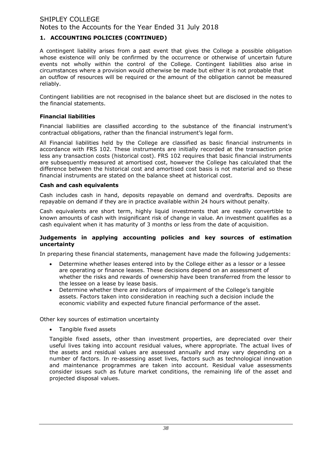### **1. ACCOUNTING POLICIES (CONTINUED)**

A contingent liability arises from a past event that gives the College a possible obligation whose existence will only be confirmed by the occurrence or otherwise of uncertain future events not wholly within the control of the College. Contingent liabilities also arise in circumstances where a provision would otherwise be made but either it is not probable that an outflow of resources will be required or the amount of the obligation cannot be measured reliably.

Contingent liabilities are not recognised in the balance sheet but are disclosed in the notes to the financial statements.

#### **Financial liabilities**

Financial liabilities are classified according to the substance of the financial instrument's contractual obligations, rather than the financial instrument's legal form.

All Financial liabilities held by the College are classified as basic financial instruments in accordance with FRS 102. These instruments are initially recorded at the transaction price less any transaction costs (historical cost). FRS 102 requires that basic financial instruments are subsequently measured at amortised cost, however the College has calculated that the difference between the historical cost and amortised cost basis is not material and so these financial instruments are stated on the balance sheet at historical cost.

#### **Cash and cash equivalents**

Cash includes cash in hand, deposits repayable on demand and overdrafts. Deposits are repayable on demand if they are in practice available within 24 hours without penalty.

Cash equivalents are short term, highly liquid investments that are readily convertible to known amounts of cash with insignificant risk of change in value. An investment qualifies as a cash equivalent when it has maturity of 3 months or less from the date of acquisition.

#### **Judgements in applying accounting policies and key sources of estimation uncertainty**

In preparing these financial statements, management have made the following judgements:

- Determine whether leases entered into by the College either as a lessor or a lessee are operating or finance leases. These decisions depend on an assessment of whether the risks and rewards of ownership have been transferred from the lessor to the lessee on a lease by lease basis.
- Determine whether there are indicators of impairment of the College's tangible assets. Factors taken into consideration in reaching such a decision include the economic viability and expected future financial performance of the asset.

Other key sources of estimation uncertainty

Tangible fixed assets

Tangible fixed assets, other than investment properties, are depreciated over their useful lives taking into account residual values, where appropriate. The actual lives of the assets and residual values are assessed annually and may vary depending on a number of factors. In re-assessing asset lives, factors such as technological innovation and maintenance programmes are taken into account. Residual value assessments consider issues such as future market conditions, the remaining life of the asset and projected disposal values.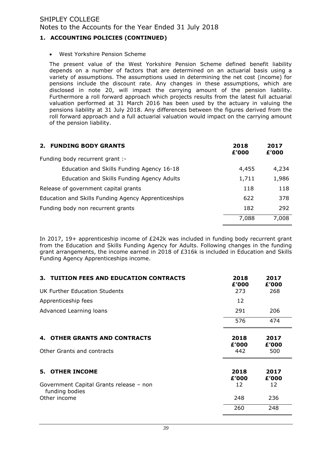### **1. ACCOUNTING POLICIES (CONTINUED)**

West Yorkshire Pension Scheme

The present value of the West Yorkshire Pension Scheme defined benefit liability depends on a number of factors that are determined on an actuarial basis using a variety of assumptions. The assumptions used in determining the net cost (income) for pensions include the discount rate. Any changes in these assumptions, which are disclosed in note 20, will impact the carrying amount of the pension liability. Furthermore a roll forward approach which projects results from the latest full actuarial valuation performed at 31 March 2016 has been used by the actuary in valuing the pensions liability at 31 July 2018. Any differences between the figures derived from the roll forward approach and a full actuarial valuation would impact on the carrying amount of the pension liability.

| <b>FUNDING BODY GRANTS</b><br>2.                    | 2018<br>£'000 | 2017<br>£'000 |
|-----------------------------------------------------|---------------|---------------|
| Funding body recurrent grant :-                     |               |               |
| Education and Skills Funding Agency 16-18           | 4,455         | 4,234         |
| Education and Skills Funding Agency Adults          | 1,711         | 1,986         |
| Release of government capital grants                | 118           | 118           |
| Education and Skills Funding Agency Apprenticeships | 622           | 378           |
| Funding body non recurrent grants                   | 182           | 292           |
|                                                     | 7,088         | 7,008         |

In 2017, 19+ apprenticeship income of £242k was included in funding body recurrent grant from the Education and Skills Funding Agency for Adults. Following changes in the funding grant arrangements, the income earned in 2018 of £316k is included in Education and Skills Funding Agency Apprenticeships income.

| 3. TUITION FEES AND EDUCATION CONTRACTS                   | 2018<br>£'000 | 2017<br>£'000 |
|-----------------------------------------------------------|---------------|---------------|
| UK Further Education Students                             | 273           | 268           |
| Apprenticeship fees                                       | 12            |               |
| Advanced Learning loans                                   | 291           | 206           |
|                                                           | 576           | 474           |
| 4. OTHER GRANTS AND CONTRACTS                             | 2018<br>£'000 | 2017<br>£'000 |
| Other Grants and contracts                                | 442           | 500           |
| <b>5. OTHER INCOME</b>                                    | 2018<br>£'000 | 2017<br>£'000 |
| Government Capital Grants release - non<br>funding bodies | 12            | 12            |
| Other income                                              | 248           | 236           |
|                                                           | 260           | 248           |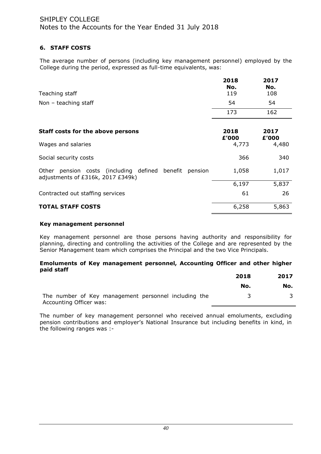### **6. STAFF COSTS**

The average number of persons (including key management personnel) employed by the College during the period, expressed as full-time equivalents, was:

| Teaching staff                                                                                 | 2018<br>No.<br>119 | 2017<br>No.<br>108 |
|------------------------------------------------------------------------------------------------|--------------------|--------------------|
| Non $-$ teaching staff                                                                         | 54                 | 54                 |
|                                                                                                | 173                | 162                |
| Staff costs for the above persons                                                              | 2018<br>£'000      | 2017<br>£'000      |
| Wages and salaries                                                                             | 4,773              | 4,480              |
| Social security costs                                                                          | 366                | 340                |
| Other pension costs (including defined benefit<br>pension<br>adjustments of £316k, 2017 £349k) | 1,058              | 1,017              |
|                                                                                                | 6,197              | 5,837              |
| Contracted out staffing services                                                               | 61                 | 26                 |
| <b>TOTAL STAFF COSTS</b>                                                                       | 6,258              | 5,863              |

#### **Key management personnel**

Key management personnel are those persons having authority and responsibility for planning, directing and controlling the activities of the College and are represented by the Senior Management team which comprises the Principal and the two Vice Principals.

#### **Emoluments of Key management personnel, Accounting Officer and other higher paid staff**

|                                                      | 2018 | 2017 |
|------------------------------------------------------|------|------|
|                                                      | No.  | No.  |
| The number of Key management personnel including the |      |      |
| Accounting Officer was:                              |      |      |

The number of key management personnel who received annual emoluments, excluding pension contributions and employer's National Insurance but including benefits in kind, in the following ranges was :-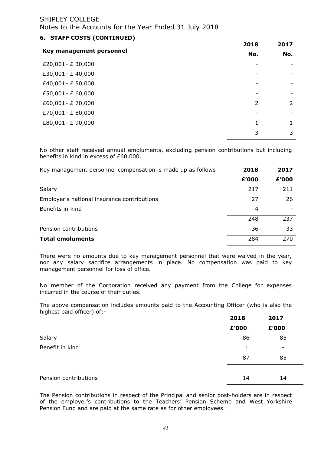## Notes to the Accounts for the Year Ended 31 July 2018

| 6. STAFF COSTS (CONTINUED) |                |                |
|----------------------------|----------------|----------------|
|                            | 2018           | 2017<br>No.    |
| Key management personnel   | No.            |                |
| £20,001 - £ 30,000         |                |                |
| £30,001 - £40,000          |                |                |
| £40,001 - £ 50,000         |                |                |
| £50,001 - £ 60,000         |                |                |
| £60,001 - £70,000          | $\overline{2}$ | $\overline{2}$ |
| £70,001 - £80,000          |                |                |
| £80,001 - £ 90,000         | 1              | 1              |
|                            | 3              | 3              |

No other staff received annual emoluments, excluding pension contributions but including benefits in kind in excess of £60,000.

| Key management personnel compensation is made up as follows | 2018  | 2017  |
|-------------------------------------------------------------|-------|-------|
|                                                             | £'000 | £'000 |
| Salary                                                      | 217   | 211   |
| Employer's national insurance contributions                 | 27    | 26    |
| Benefits in kind                                            | 4     |       |
|                                                             | 248   | 237   |
| Pension contributions                                       | 36    | 33    |
| <b>Total emoluments</b>                                     | 284   | 270   |

There were no amounts due to key management personnel that were waived in the year, nor any salary sacrifice arrangements in place. No compensation was paid to key management personnel for loss of office.

No member of the Corporation received any payment from the College for expenses incurred in the course of their duties.

The above compensation includes amounts paid to the Accounting Officer (who is also the highest paid officer) of:-

|                       | 2018  | 2017                     |
|-----------------------|-------|--------------------------|
|                       | £'000 | £'000                    |
| Salary                | 86    | 85                       |
| Benefit in kind       | 1     | $\overline{\phantom{0}}$ |
|                       | 87    | 85                       |
|                       |       |                          |
| Pension contributions | 14    | 14                       |

The Pension contributions in respect of the Principal and senior post-holders are in respect of the employer's contributions to the Teachers' Pension Scheme and West Yorkshire Pension Fund and are paid at the same rate as for other employees.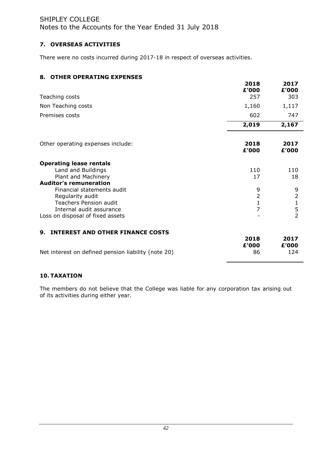Notes to the Accounts for the Year Ended 31 July 2018

## **7. OVERSEAS ACTIVITIES**

There were no costs incurred during 2017-18 in respect of overseas activities.

## **8. OTHER OPERATING EXPENSES**

|                                                     | 2018<br>£'000                  | 2017<br>£'000  |
|-----------------------------------------------------|--------------------------------|----------------|
| Teaching costs                                      | 257                            | 303            |
| Non Teaching costs                                  | 1,160                          | 1,117          |
| Premises costs                                      | 602                            | 747            |
|                                                     | 2,019                          | 2,167          |
| Other operating expenses include:                   | 2018<br>£'000                  | 2017<br>£'000  |
| <b>Operating lease rentals</b>                      |                                |                |
| Land and Buildings                                  | 110                            | 110            |
| Plant and Machinery                                 | 17                             | 18             |
| <b>Auditor's remuneration</b>                       |                                |                |
| Financial statements audit                          | 9                              | 9              |
| Regularity audit                                    | $\overline{2}$                 | $\overline{2}$ |
| <b>Teachers Pension audit</b>                       | $\mathbf{1}$<br>$\overline{7}$ | $\frac{1}{5}$  |
| Internal audit assurance                            |                                | $\overline{2}$ |
| Loss on disposal of fixed assets                    |                                |                |
| <b>INTEREST AND OTHER FINANCE COSTS</b><br>9.       |                                |                |
|                                                     | 2018<br>£'000                  | 2017<br>£'000  |
| Net interest on defined pension liability (note 20) | 86                             | 124            |

## **10. TAXATION**

The members do not believe that the College was liable for any corporation tax arising out of its activities during either year.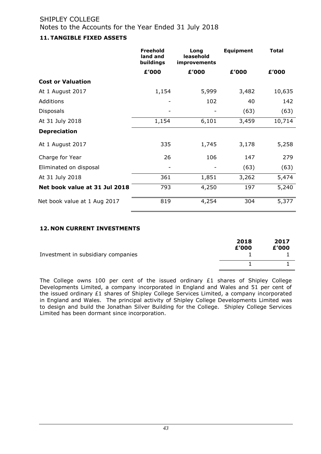### **11. TANGIBLE FIXED ASSETS**

|                               | <b>Freehold</b><br>land and<br>buildings | Long<br>leasehold<br>improvements | <b>Equipment</b> | <b>Total</b> |
|-------------------------------|------------------------------------------|-----------------------------------|------------------|--------------|
|                               | £'000                                    | £'000                             | £'000            | £'000        |
| <b>Cost or Valuation</b>      |                                          |                                   |                  |              |
| At 1 August 2017              | 1,154                                    | 5,999                             | 3,482            | 10,635       |
| Additions                     |                                          | 102                               | 40               | 142          |
| <b>Disposals</b>              |                                          |                                   | (63)             | (63)         |
| At 31 July 2018               | 1,154                                    | 6,101                             | 3,459            | 10,714       |
| <b>Depreciation</b>           |                                          |                                   |                  |              |
| At 1 August 2017              | 335                                      | 1,745                             | 3,178            | 5,258        |
| Charge for Year               | 26                                       | 106                               | 147              | 279          |
| Eliminated on disposal        |                                          |                                   | (63)             | (63)         |
| At 31 July 2018               | 361                                      | 1,851                             | 3,262            | 5,474        |
| Net book value at 31 Jul 2018 | 793                                      | 4,250                             | 197              | 5,240        |
| Net book value at 1 Aug 2017  | 819                                      | 4,254                             | 304              | 5,377        |

### **12. NON CURRENT INVESTMENTS**

| Investment in subsidiary companies | 2018<br>£'000 | 2017<br>£'000 |
|------------------------------------|---------------|---------------|
|                                    |               |               |

The College owns 100 per cent of the issued ordinary £1 shares of Shipley College Developments Limited, a company incorporated in England and Wales and 51 per cent of the issued ordinary £1 shares of Shipley College Services Limited, a company incorporated in England and Wales. The principal activity of Shipley College Developments Limited was to design and build the Jonathan Silver Building for the College. Shipley College Services Limited has been dormant since incorporation.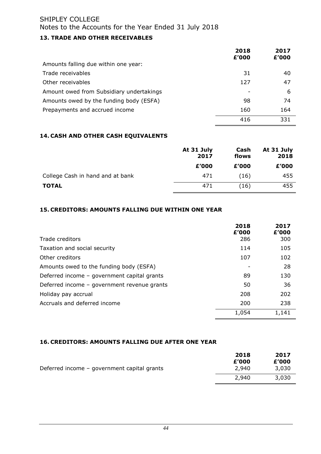### **13. TRADE AND OTHER RECEIVABLES**

|                                          | 2018<br>£'000 | 2017<br>£'000 |
|------------------------------------------|---------------|---------------|
| Amounts falling due within one year:     |               |               |
| Trade receivables                        | 31            | 40            |
| Other receivables                        | 127           | 47            |
| Amount owed from Subsidiary undertakings |               | 6             |
| Amounts owed by the funding body (ESFA)  | 98            | 74            |
| Prepayments and accrued income           | 160           | 164           |
|                                          | 416           | 331           |

### **14. CASH AND OTHER CASH EQUIVALENTS**

|                                  | At 31 July<br>2017 | Cash<br>flows | At 31 July<br>2018 |
|----------------------------------|--------------------|---------------|--------------------|
|                                  | £'000              | £'000         | £'000              |
| College Cash in hand and at bank | 471                | (16)          | 455                |
| <b>TOTAL</b>                     | 471                | (16           | 455                |

### **15. CREDITORS: AMOUNTS FALLING DUE WITHIN ONE YEAR**

|                                             | 2018<br>£'000 | 2017<br>£'000 |
|---------------------------------------------|---------------|---------------|
| Trade creditors                             | 286           | 300           |
| Taxation and social security                | 114           | 105           |
| Other creditors                             | 107           | 102           |
| Amounts owed to the funding body (ESFA)     |               | 28            |
| Deferred income - government capital grants | 89            | 130           |
| Deferred income - government revenue grants | 50            | 36            |
| Holiday pay accrual                         | 208           | 202           |
| Accruals and deferred income                | 200           | 238           |
|                                             | 1,054         | 1,141         |

### **16. CREDITORS: AMOUNTS FALLING DUE AFTER ONE YEAR**

|                                             | 2018           | 2017           |
|---------------------------------------------|----------------|----------------|
| Deferred income – government capital grants | £'000<br>2,940 | £'000<br>3,030 |
|                                             | 2.940          | 3,030          |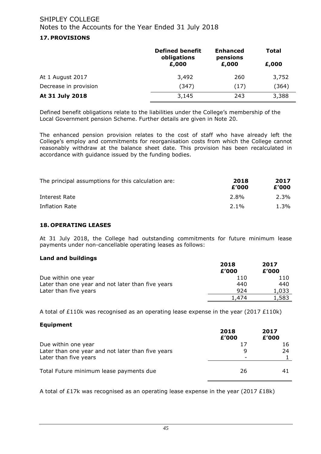### **17. PROVISIONS**

|                       | <b>Defined benefit</b><br>obligations | <b>Enhanced</b><br>pensions | <b>Total</b> |
|-----------------------|---------------------------------------|-----------------------------|--------------|
|                       | £,000                                 | £,000                       | £,000        |
| At 1 August 2017      | 3,492                                 | 260                         | 3,752        |
| Decrease in provision | (347)                                 | (17)                        | (364)        |
| At 31 July 2018       | 3,145                                 | 243                         | 3,388        |

Defined benefit obligations relate to the liabilities under the College's membership of the Local Government pension Scheme. Further details are given in Note 20.

The enhanced pension provision relates to the cost of staff who have already left the College's employ and commitments for reorganisation costs from which the College cannot reasonably withdraw at the balance sheet date. This provision has been recalculated in accordance with guidance issued by the funding bodies.

| The principal assumptions for this calculation are: | 2018<br>£'000 | 2017<br>£'000 |
|-----------------------------------------------------|---------------|---------------|
| Interest Rate                                       | 2.8%          | 2.3%          |
| Inflation Rate                                      | $2.1\%$       | 1.3%          |

### **18. OPERATING LEASES**

At 31 July 2018, the College had outstanding commitments for future minimum lease payments under non-cancellable operating leases as follows:

#### **Land and buildings**

|                                                   | 2018  | 2017  |
|---------------------------------------------------|-------|-------|
|                                                   | £'000 | £'000 |
| Due within one year                               | 110   | 110   |
| Later than one year and not later than five years | 440   | 440   |
| Later than five years                             | 924   | 1,033 |
|                                                   | 1.474 | ⊥,583 |

A total of £110k was recognised as an operating lease expense in the year (2017  $£110k$ )

#### **Equipment**

|                                                   | 2018<br>£'000 | 2017<br>£'000 |
|---------------------------------------------------|---------------|---------------|
| Due within one year                               | 17            | 16            |
| Later than one year and not later than five years | q             | 24            |
| Later than five years                             |               |               |
| Total Future minimum lease payments due           | 26            |               |

A total of £17k was recognised as an operating lease expense in the year (2017 £18k)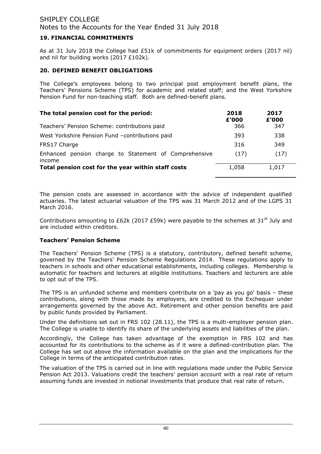### **19. FINANCIAL COMMITMENTS**

As at 31 July 2018 the College had £51k of commitments for equipment orders (2017 nil) and nil for building works (2017 £102k).

### **20. DEFINED BENEFIT OBLIGATIONS**

The College's employees belong to two principal post employment benefit plans, the Teachers' Pensions Scheme (TPS) for academic and related staff; and the West Yorkshire Pension Fund for non-teaching staff. Both are defined-benefit plans.

| The total pension cost for the period:                             | 2018<br>£'000 | 2017<br>£'000 |
|--------------------------------------------------------------------|---------------|---------------|
| Teachers' Pension Scheme: contributions paid                       | 366           | 347           |
| West Yorkshire Pension Fund -contributions paid                    | 393           | 338           |
| FRS17 Charge                                                       | 316           | 349           |
| pension charge to Statement of Comprehensive<br>Enhanced<br>income | (17)          | (17)          |
| Total pension cost for the year within staff costs                 | 1,058         | 1,017         |

The pension costs are assessed in accordance with the advice of independent qualified actuaries. The latest actuarial valuation of the TPS was 31 March 2012 and of the LGPS 31 March 2016.

Contributions amounting to £62k (2017 £59k) were payable to the schemes at 31<sup>st</sup> July and are included within creditors.

### **Teachers' Pension Scheme**

The Teachers' Pension Scheme (TPS) is a statutory, contributory, defined benefit scheme, governed by the Teachers' Pension Scheme Regulations 2014. These regulations apply to teachers in schools and other educational establishments, including colleges. Membership is automatic for teachers and lecturers at eligible institutions. Teachers and lecturers are able to opt out of the TPS.

The TPS is an unfunded scheme and members contribute on a 'pay as you go' basis – these contributions, along with those made by employers, are credited to the Exchequer under arrangements governed by the above Act. Retirement and other pension benefits are paid by public funds provided by Parliament.

Under the definitions set out in FRS 102 (28.11), the TPS is a multi-employer pension plan. The College is unable to identify its share of the underlying assets and liabilities of the plan.

Accordingly, the College has taken advantage of the exemption in FRS 102 and has accounted for its contributions to the scheme as if it were a defined-contribution plan. The College has set out above the information available on the plan and the implications for the College in terms of the anticipated contribution rates.

The valuation of the TPS is carried out in line with regulations made under the Public Service Pension Act 2013. Valuations credit the teachers' pension account with a real rate of return assuming funds are invested in notional investments that produce that real rate of return.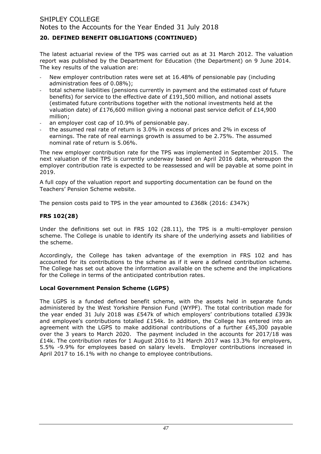## **20. DEFINED BENEFIT OBLIGATIONS (CONTINUED)**

The latest actuarial review of the TPS was carried out as at 31 March 2012. The valuation report was published by the Department for Education (the Department) on 9 June 2014. The key results of the valuation are:

- New employer contribution rates were set at 16.48% of pensionable pay (including administration fees of 0.08%);
- total scheme liabilities (pensions currently in payment and the estimated cost of future benefits) for service to the effective date of £191,500 million, and notional assets (estimated future contributions together with the notional investments held at the valuation date) of £176,600 million giving a notional past service deficit of £14,900 million;
- an employer cost cap of 10.9% of pensionable pay.
- the assumed real rate of return is 3.0% in excess of prices and 2% in excess of earnings. The rate of real earnings growth is assumed to be 2.75%. The assumed nominal rate of return is 5.06%.

The new employer contribution rate for the TPS was implemented in September 2015. The next valuation of the TPS is currently underway based on April 2016 data, whereupon the employer contribution rate is expected to be reassessed and will be payable at some point in 2019.

A full copy of the valuation report and supporting documentation can be found on the Teachers' Pension Scheme website.

The pension costs paid to TPS in the year amounted to £368k (2016: £347k)

### **FRS 102(28)**

Under the definitions set out in FRS 102 (28.11), the TPS is a multi-employer pension scheme. The College is unable to identify its share of the underlying assets and liabilities of the scheme.

Accordingly, the College has taken advantage of the exemption in FRS 102 and has accounted for its contributions to the scheme as if it were a defined contribution scheme. The College has set out above the information available on the scheme and the implications for the College in terms of the anticipated contribution rates.

#### **Local Government Pension Scheme (LGPS)**

The LGPS is a funded defined benefit scheme, with the assets held in separate funds administered by the West Yorkshire Pension Fund (WYPF). The total contribution made for the year ended 31 July 2018 was £547k of which employers' contributions totalled £393k and employee's contributions totalled £154k. In addition, the College has entered into an agreement with the LGPS to make additional contributions of a further  $£45,300$  payable over the 3 years to March 2020. The payment included in the accounts for 2017/18 was £14k. The contribution rates for 1 August 2016 to 31 March 2017 was 13.3% for employers, 5.5% -9.9% for employees based on salary levels. Employer contributions increased in April 2017 to 16.1% with no change to employee contributions.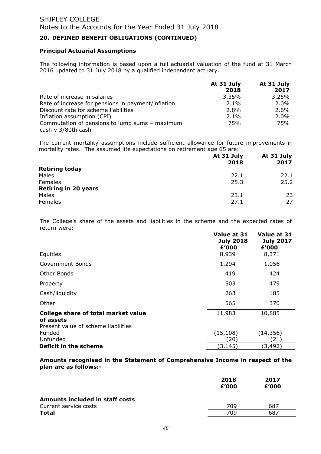### **20. DEFINED BENEFIT OBLIGATIONS (CONTINUED)**

#### **Principal Actuarial Assumptions**

The following information is based upon a full actuarial valuation of the fund at 31 March 2016 updated to 31 July 2018 by a qualified independent actuary.

|                                                    | At 31 July<br>2018 | At 31 July<br>2017 |
|----------------------------------------------------|--------------------|--------------------|
| Rate of increase in salaries                       | 3.35%              | 3.25%              |
| Rate of increase for pensions in payment/inflation | $2.1\%$            | 2.0%               |
| Discount rate for scheme liabilities               | 2.8%               | 2.6%               |
| Inflation assumption (CPI)                         | $2.1\%$            | $2.0\%$            |
| Commutation of pensions to lump sums - maximum     | 75%                | 75%                |
| cash v 3/80th cash                                 |                    |                    |

The current mortality assumptions include sufficient allowance for future improvements in mortality rates. The assumed life expectations on retirement age 65 are:

|                             | At 31 July<br>2018 | At 31 July<br>2017 |
|-----------------------------|--------------------|--------------------|
| <b>Retiring today</b>       |                    |                    |
| Males                       | 22.1               | 22.1               |
| Females                     | 25.3               | 25.2               |
| <b>Retiring in 20 years</b> |                    |                    |
| Males                       | 23.1               | 23                 |
| Females                     | 27.1               | 27                 |

The College's share of the assets and liabilities in the scheme and the expected rates of return were:

|                                                                                                | Value at 31<br><b>July 2018</b><br>£'000 | Value at 31<br><b>July 2017</b><br>£'000 |
|------------------------------------------------------------------------------------------------|------------------------------------------|------------------------------------------|
| Equities                                                                                       | 8,939                                    | 8,371                                    |
| Government Bonds                                                                               | 1,294                                    | 1,056                                    |
| Other Bonds                                                                                    | 419                                      | 424                                      |
| Property                                                                                       | 503                                      | 479                                      |
| Cash/liquidity                                                                                 | 263                                      | 185                                      |
| Other                                                                                          | 565                                      | 370                                      |
| <b>College share of total market value</b><br>of assets<br>Present value of scheme liabilities | 11,983                                   | 10,885                                   |
| <b>Funded</b>                                                                                  | (15, 108)                                | (14, 356)                                |
| Unfunded                                                                                       | (20)                                     | (21)                                     |
| Deficit in the scheme                                                                          | (3, 145)                                 | (3, 492)                                 |

**Amounts recognised in the Statement of Comprehensive Income in respect of the plan are as follows:-**

|                                 | 2018<br>£'000 | 2017<br>£'000 |
|---------------------------------|---------------|---------------|
| Amounts included in staff costs |               |               |
| Current service costs           | 709           | 687           |
| <b>Total</b>                    | 709           | 687           |
|                                 |               |               |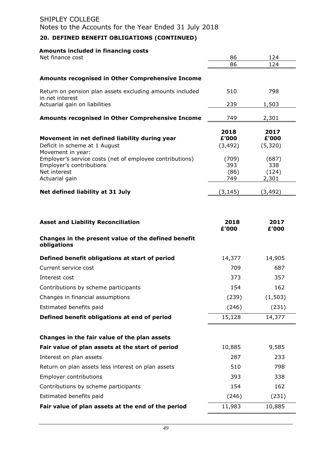## **20. DEFINED BENEFIT OBLIGATIONS (CONTINUED)**

### **Amounts included in financing costs**

| Net finance cost                                                                                                       | 86<br>86                    | 124<br>124                     |
|------------------------------------------------------------------------------------------------------------------------|-----------------------------|--------------------------------|
|                                                                                                                        |                             |                                |
| <b>Amounts recognised in Other Comprehensive Income</b>                                                                |                             |                                |
| Return on pension plan assets excluding amounts included<br>in net interest                                            | 510                         | 798                            |
| Actuarial gain on liabilities                                                                                          | 239                         | 1,503                          |
| Amounts recognised in Other Comprehensive Income                                                                       | 749                         | 2,301                          |
| Movement in net defined liability during year<br>Deficit in scheme at 1 August<br>Movement in year:                    | 2018<br>£'000<br>(3, 492)   | 2017<br>£'000<br>(5,320)       |
| Employer's service costs (net of employee contributions)<br>Employer's contributions<br>Net interest<br>Actuarial gain | (709)<br>393<br>(86)<br>749 | (687)<br>338<br>(124)<br>2,301 |
| Net defined liability at 31 July                                                                                       | (3, 145)                    | (3,492)                        |
|                                                                                                                        |                             |                                |
| <b>Asset and Liability Reconciliation</b>                                                                              | 2018<br>£'000               | 2017<br>£'000                  |
| Changes in the present value of the defined benefit<br>obligations                                                     |                             |                                |
| Defined benefit obligations at start of period                                                                         | 14,377                      | 14,905                         |
| Current service cost                                                                                                   | 709                         | 687                            |
| Interest cost                                                                                                          | 373                         | 357                            |
| Contributions by scheme participants                                                                                   | 154                         | 162                            |
| Changes in financial assumptions                                                                                       | (239)                       | (1, 503)                       |
| Estimated benefits paid                                                                                                | (246)                       | (231)                          |
| Defined benefit obligations at end of period                                                                           | 15,128                      | 14,377                         |
| Changes in the fair value of the plan assets                                                                           |                             |                                |
| Fair value of plan assets at the start of period                                                                       | 10,885                      | 9,585                          |
| Interest on plan assets                                                                                                | 287                         | 233                            |
| Return on plan assets less interest on plan assets                                                                     | 510                         | 798                            |
| <b>Employer contributions</b>                                                                                          | 393                         | 338                            |
| Contributions by scheme participants                                                                                   | 154                         | 162                            |
| Estimated benefits paid                                                                                                | (246)                       | (231)                          |
| Fair value of plan assets at the end of the period                                                                     | 11,983                      | 10,885                         |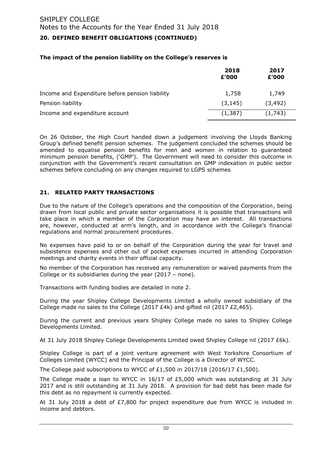### **20. DEFINED BENEFIT OBLIGATIONS (CONTINUED)**

#### **The impact of the pension liability on the College's reserves is**

|                                                 | 2018<br>£'000 | 2017<br>£'000 |
|-------------------------------------------------|---------------|---------------|
| Income and Expenditure before pension liability | 1,758         | 1,749         |
| Pension liability                               | (3, 145)      | (3, 492)      |
| Income and expenditure account                  | (1,387)       | (1,743)       |

On 26 October, the High Court handed down a judgement involving the Lloyds Banking Group's defined benefit pension schemes. The judgement concluded the schemes should be amended to equalise pension benefits for men and women in relation to guaranteed minimum pension benefits, ('GMP'). The Government will need to consider this outcome in conjunction with the Government's recent consultation on GMP indexation in public sector schemes before concluding on any changes required to LGPS schemes

#### **21. RELATED PARTY TRANSACTIONS**

Due to the nature of the College's operations and the composition of the Corporation, being drawn from local public and private sector organisations it is possible that transactions will take place in which a member of the Corporation may have an interest. All transactions are, however, conducted at arm's length, and in accordance with the College's financial regulations and normal procurement procedures.

No expenses have paid to or on behalf of the Corporation during the year for travel and subsistence expenses and other out of pocket expenses incurred in attending Corporation meetings and charity events in their official capacity.

No member of the Corporation has received any remuneration or waived payments from the College or its subsidiaries during the year (2017 – none).

Transactions with funding bodies are detailed in note 2.

During the year Shipley College Developments Limited a wholly owned subsidiary of the College made no sales to the College (2017  $E4k$ ) and gifted nil (2017  $E2,465$ ).

During the current and previous years Shipley College made no sales to Shipley College Developments Limited.

At 31 July 2018 Shipley College Developments Limited owed Shipley College nil (2017 £6k).

Shipley College is part of a joint venture agreement with West Yorkshire Consortium of Colleges Limited (WYCC) and the Principal of the College is a Director of WYCC.

The College paid subscriptions to WYCC of £1,500 in 2017/18 (2016/17 £1,500).

The College made a loan to WYCC in  $16/17$  of £5,000 which was outstanding at 31 July 2017 and is still outstanding at 31 July 2018. A provision for bad debt has been made for this debt as no repayment is currently expected.

At 31 July 2018 a debt of £7,800 for project expenditure due from WYCC is included in income and debtors.